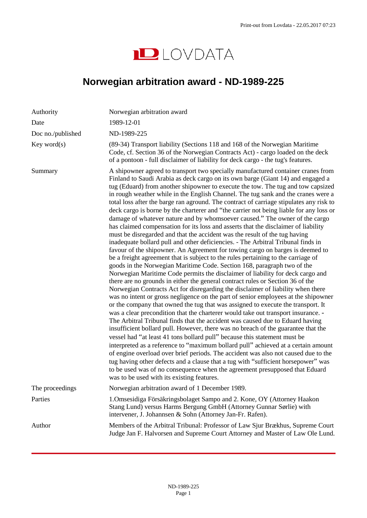

# <span id="page-0-0"></span>**Norwegian arbitration award - ND-1989-225**

| Authority         | Norwegian arbitration award                                                                                                                                                                                                                                                                                                                                                                                                                                                                                                                                                                                                                                                                                                                                                                                                                                                                                                                                                                                                                                                                                                                                                                                                                                                                                                                                                                                                                                                                                                                                                                                                                                                                                                                                                                                                                                                                                                                                                                                                                                                                                                                                                                                                                                                                     |
|-------------------|-------------------------------------------------------------------------------------------------------------------------------------------------------------------------------------------------------------------------------------------------------------------------------------------------------------------------------------------------------------------------------------------------------------------------------------------------------------------------------------------------------------------------------------------------------------------------------------------------------------------------------------------------------------------------------------------------------------------------------------------------------------------------------------------------------------------------------------------------------------------------------------------------------------------------------------------------------------------------------------------------------------------------------------------------------------------------------------------------------------------------------------------------------------------------------------------------------------------------------------------------------------------------------------------------------------------------------------------------------------------------------------------------------------------------------------------------------------------------------------------------------------------------------------------------------------------------------------------------------------------------------------------------------------------------------------------------------------------------------------------------------------------------------------------------------------------------------------------------------------------------------------------------------------------------------------------------------------------------------------------------------------------------------------------------------------------------------------------------------------------------------------------------------------------------------------------------------------------------------------------------------------------------------------------------|
| Date              | 1989-12-01                                                                                                                                                                                                                                                                                                                                                                                                                                                                                                                                                                                                                                                                                                                                                                                                                                                                                                                                                                                                                                                                                                                                                                                                                                                                                                                                                                                                                                                                                                                                                                                                                                                                                                                                                                                                                                                                                                                                                                                                                                                                                                                                                                                                                                                                                      |
| Doc no./published | ND-1989-225                                                                                                                                                                                                                                                                                                                                                                                                                                                                                                                                                                                                                                                                                                                                                                                                                                                                                                                                                                                                                                                                                                                                                                                                                                                                                                                                                                                                                                                                                                                                                                                                                                                                                                                                                                                                                                                                                                                                                                                                                                                                                                                                                                                                                                                                                     |
| Key word(s)       | (89-34) Transport liability (Sections 118 and 168 of the Norwegian Maritime<br>Code, cf. Section 36 of the Norwegian Contracts Act) - cargo loaded on the deck<br>of a pontoon - full disclaimer of liability for deck cargo - the tug's features.                                                                                                                                                                                                                                                                                                                                                                                                                                                                                                                                                                                                                                                                                                                                                                                                                                                                                                                                                                                                                                                                                                                                                                                                                                                                                                                                                                                                                                                                                                                                                                                                                                                                                                                                                                                                                                                                                                                                                                                                                                              |
| Summary           | A shipowner agreed to transport two specially manufactured container cranes from<br>Finland to Saudi Arabia as deck cargo on its own barge (Giant 14) and engaged a<br>tug (Eduard) from another shipowner to execute the tow. The tug and tow capsized<br>in rough weather while in the English Channel. The tug sank and the cranes were a<br>total loss after the barge ran aground. The contract of carriage stipulates any risk to<br>deck cargo is borne by the charterer and "the carrier not being liable for any loss or<br>damage of whatever nature and by whomsoever caused." The owner of the cargo<br>has claimed compensation for its loss and asserts that the disclaimer of liability<br>must be disregarded and that the accident was the result of the tug having<br>inadequate bollard pull and other deficiencies. - The Arbitral Tribunal finds in<br>favour of the shipowner. An Agreement for towing cargo on barges is deemed to<br>be a freight agreement that is subject to the rules pertaining to the carriage of<br>goods in the Norwegian Maritime Code. Section 168, paragraph two of the<br>Norwegian Maritime Code permits the disclaimer of liability for deck cargo and<br>there are no grounds in either the general contract rules or Section 36 of the<br>Norwegian Contracts Act for disregarding the disclaimer of liability when there<br>was no intent or gross negligence on the part of senior employees at the shipowner<br>or the company that owned the tug that was assigned to execute the transport. It<br>was a clear precondition that the charterer would take out transport insurance. -<br>The Arbitral Tribunal finds that the accident was caused due to Eduard having<br>insufficient bollard pull. However, there was no breach of the guarantee that the<br>vessel had "at least 41 tons bollard pull" because this statement must be<br>interpreted as a reference to "maximum bollard pull" achieved at a certain amount<br>of engine overload over brief periods. The accident was also not caused due to the<br>tug having other defects and a clause that a tug with "sufficient horsepower" was<br>to be used was of no consequence when the agreement presupposed that Eduard<br>was to be used with its existing features. |
| The proceedings   | Norwegian arbitration award of 1 December 1989.                                                                                                                                                                                                                                                                                                                                                                                                                                                                                                                                                                                                                                                                                                                                                                                                                                                                                                                                                                                                                                                                                                                                                                                                                                                                                                                                                                                                                                                                                                                                                                                                                                                                                                                                                                                                                                                                                                                                                                                                                                                                                                                                                                                                                                                 |
| Parties           | 1. Omsesidiga Försäkringsbolaget Sampo and 2. Kone, OY (Attorney Haakon<br>Stang Lund) versus Harms Bergung GmbH (Attorney Gunnar Sørlie) with<br>intervener, J. Johannsen & Sohn (Attorney Jan-Fr. Rafen).                                                                                                                                                                                                                                                                                                                                                                                                                                                                                                                                                                                                                                                                                                                                                                                                                                                                                                                                                                                                                                                                                                                                                                                                                                                                                                                                                                                                                                                                                                                                                                                                                                                                                                                                                                                                                                                                                                                                                                                                                                                                                     |
| Author            | Members of the Arbitral Tribunal: Professor of Law Sjur Brækhus, Supreme Court<br>Judge Jan F. Halvorsen and Supreme Court Attorney and Master of Law Ole Lund.                                                                                                                                                                                                                                                                                                                                                                                                                                                                                                                                                                                                                                                                                                                                                                                                                                                                                                                                                                                                                                                                                                                                                                                                                                                                                                                                                                                                                                                                                                                                                                                                                                                                                                                                                                                                                                                                                                                                                                                                                                                                                                                                 |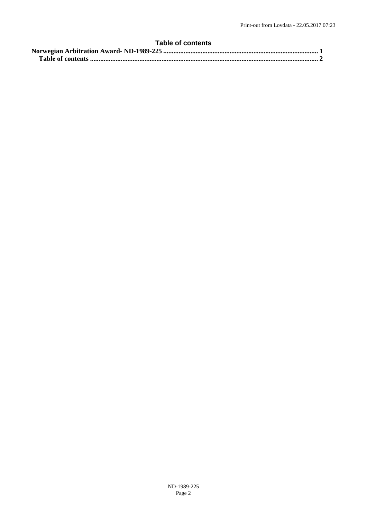# <span id="page-1-0"></span>**Table of contents**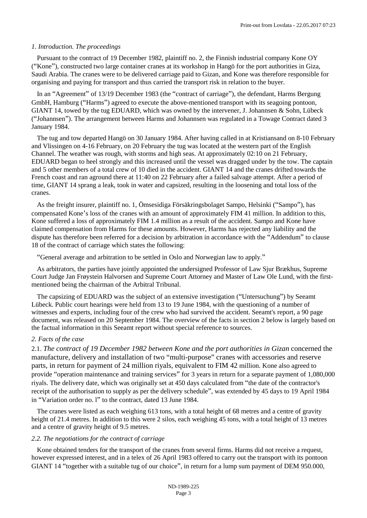## *1. Introduction. The proceedings*

Pursuant to the contract of 19 December 1982, plaintiff no. 2, the Finnish industrial company Kone OY ("Kone"), constructed two large container cranes at its workshop in Hangö for the port authorities in Giza, Saudi Arabia. The cranes were to be delivered carriage paid to Gizan, and Kone was therefore responsible for organising and paying for transport and thus carried the transport risk in relation to the buyer.

In an "Agreement" of 13/19 December 1983 (the "contract of carriage"), the defendant, Harms Bergung GmbH, Hamburg ("Harms") agreed to execute the above-mentioned transport with its seagoing pontoon, GIANT 14, towed by the tug EDUARD, which was owned by the intervener, J. Johannsen & Sohn, Lübeck ("Johannsen"). The arrangement between Harms and Johannsen was regulated in a Towage Contract dated 3 January 1984.

The tug and tow departed Hangö on 30 January 1984. After having called in at Kristiansand on 8-10 February and Vlissingen on 4-16 February, on 20 February the tug was located at the western part of the English Channel. The weather was rough, with storms and high seas. At approximately 02:10 on 21 February, EDUARD began to heel strongly and this increased until the vessel was dragged under by the tow. The captain and 5 other members of a total crew of 10 died in the accident. GIANT 14 and the cranes drifted towards the French coast and ran aground there at 11:40 on 22 February after a failed salvage attempt. After a period of time, GIANT 14 sprang a leak, took in water and capsized, resulting in the loosening and total loss of the cranes.

As the freight insurer, plaintiff no. 1, Ömsesidiga Försäkringsbolaget Sampo, Helsinki ("Sampo"), has compensated Kone's loss of the cranes with an amount of approximately FIM 41 million. In addition to this, Kone suffered a loss of approximately FIM 1.4 million as a result of the accident. Sampo and Kone have claimed compensation from Harms for these amounts. However, Harms has rejected any liability and the dispute has therefore been referred for a decision by arbitration in accordance with the "Addendum" to clause 18 of the contract of carriage which states the following:

"General average and arbitration to be settled in Oslo and Norwegian law to apply."

As arbitrators, the parties have jointly appointed the undersigned Professor of Law Sjur Brækhus, Supreme Court Judge Jan Frøystein Halvorsen and Supreme Court Attorney and Master of Law Ole Lund, with the firstmentioned being the chairman of the Arbitral Tribunal.

The capsizing of EDUARD was the subject of an extensive investigation ("Untersuchung") by Seeamt Lübeck. Public court hearings were held from 13 to 19 June 1984, with the questioning of a number of witnesses and experts, including four of the crew who had survived the accident. Seeamt's report, a 90 page document, was released on 20 September 1984. The overview of the facts in section 2 below is largely based on the factual information in this Seeamt report without special reference to sources.

# *2. Facts of the case*

2.1. *The contract of 19 December 1982 between Kone and the port authorities in Gizan* concerned the manufacture, delivery and installation of two "multi-purpose" cranes with accessories and reserve parts, in return for payment of 24 million riyals, equivalent to FIM 42 million. Kone also agreed to provide "operation maintenance and training services" for 3 years in return for a separate payment of 1,080,000 riyals. The delivery date, which was originally set at 450 days calculated from "the date of the contractor's receipt of the authorisation to supply as per the delivery schedule", was extended by 45 days to 19 April 1984 in "Variation order no. l" to the contract, dated 13 June 1984.

The cranes were listed as each weighing 613 tons, with a total height of 68 metres and a centre of gravity height of 21.4 metres. In addition to this were 2 silos, each weighing 45 tons, with a total height of 13 metres and a centre of gravity height of 9.5 metres.

#### *2.2. The negotiations for the contract of carriage*

Kone obtained tenders for the transport of the cranes from several firms. Harms did not receive a request, however expressed interest, and in a telex of 26 April 1983 offered to carry out the transport with its pontoon GIANT 14 "together with a suitable tug of our choice", in return for a lump sum payment of DEM 950.000,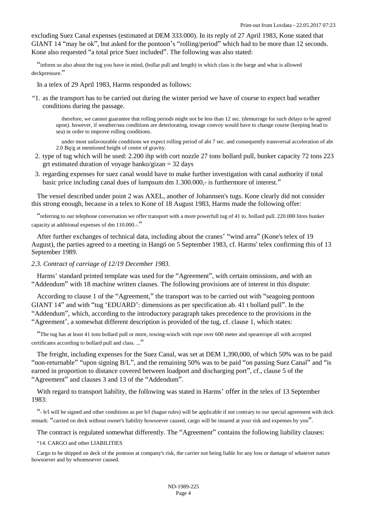excluding Suez Canal expenses (estimated at DEM 333.000). In its reply of 27 April 1983, Kone stated that GIANT 14 "may be ok", but asked for the pontoon's "rolling/period" which had to be more than 12 seconds. Kone also requested "a total price Suez included". The following was also stated:

"inform us also about the tug you have in mind, (bollar pull and length) in which class is the barge and what is allowed deckpressure."

In a telex of 29 April 1983, Harms responded as follows:

"1. as the transport has to be carried out during the winter period we have of course to expect bad weather conditions during the passage.

therefore, we cannot guarantee that rolling periods might not be less than 12 sec. (demurrage for such delays to be agreed upon). however, if weather/sea conditions are deteriorating, towage convoy would have to change course (keeping head to sea) in order to improve rolling conditions.

under most unfavourable conditions we expect rolling period of abt 7 sec. and consequently transversal acceleration of abt 2.0 Bq/g at mentioned height of centre of gravity.

- 2. type of tug which will be used: 2.200 ihp with cort nozzle 27 tons bollard pull, bunker capacity 72 tons 223 grt estimated duration of voyage hanko/gizan  $=$  32 days
- 3. regarding expenses for suez canal would have to make further investigation with canal authority if total basic price including canal dues of lumpsum dm 1.300.000,- is furthermore of interest."

The vessel described under point 2 was AXEL, another of Johannsen's tugs. Kone clearly did not consider this strong enough, because in a telex to Kone of 18 August 1983, Harms made the following offer:

"referring to our telephone conversation we offer transport with a more powerfull tug of 41 to. bollard pull. 220.000 litres bunker capacity at additional expenses of dm 110.000.-."

After further exchanges of technical data, including about the cranes' "wind area" (Kone's telex of 19 August), the parties agreed to a meeting in Hangö on 5 September 1983, cf. Harms' telex confirming this of 13 September 1989.

#### *2.3. Contract of carriage of 12/19 December 1983.*

Harms' standard printed template was used for the "Agreement", with certain omissions, and with an "Addendum" with 18 machine written clauses. The following provisions are of interest in this dispute:

According to clause 1 of the "Agreement," the transport was to be carried out with "seagoing pontoon GIANT 14" and with "tug 'EDUARD': dimensions as per specification ab. 41 t bollard pull". In the "Addendum", which, according to the introductory paragraph takes precedence to the provisions in the "Agreement', a somewhat different description is provided of the tug, cf. clause 1, which states:

"The tug has at least 41 tons bollard pull or more, towing-winch with rope over 600 meter and spearerope all with accepted certificates according to bollard pull and class. ..."

The freight, including expenses for the Suez Canal, was set at DEM 1,390,000, of which 50% was to be paid "non-returnable" "upon signing B/L", and the remaining 50% was to be paid "on passing Suez Canal" and "is earned in proportion to distance covered between loadport and discharging port", cf., clause 5 of the "Agreement" and clauses 3 and 13 of the "Addendum".

With regard to transport liability, the following was stated in Harms' offer in the telex of 13 September 1983:

"- b/l will be signed and other conditions as per b/l (hague rules) will be applicable if not contrary to our special agreement with deck remark: "carried on deck without owner's liability howsoever caused, cargo will be insured at your risk and expenses by you".

The contract is regulated somewhat differently. The "Agreement" contains the following liability clauses:

"14. CARGO and other LIABILITIES

Cargo to be shipped on deck of the pontoon at company's risk, the carrier not being liable for any loss or damage of whatever nature howsoever and by whomsoever caused.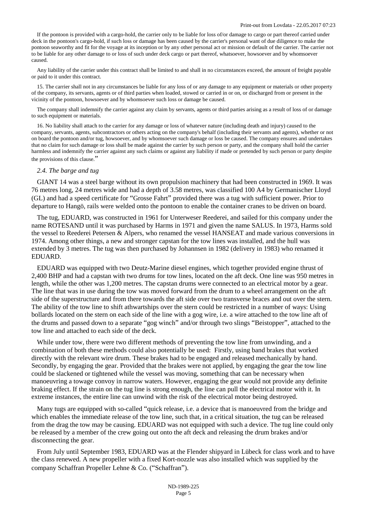If the pontoon is provided with a cargo-hold, the carrier only to be liable for loss of/or damage to cargo or part thereof carried under deck in the pontoon's cargo-hold, if such loss or damage has been caused by the carrier's personal want of due diligence to make the pontoon seaworthy and fit for the voyage at its inception or by any other personal act or mission or default of the carrier. The carrier not to be liable for any other damage to or loss of such under deck cargo or part thereof, whatsoever, howsoever and by whomsoever caused.

Any liability of the carrier under this contract shall be limited to and shall in no circumstances exceed, the amount of freight payable or paid to it under this contract.

15. The carrier shall not in any circumstances be liable for any loss of or any damage to any equipment or materials or other property of the company, its servants, agents or of third parties when loaded, stowed or carried in or on, or discharged from or present in the vicinity of the pontoon, howsoever and by whomsoever such loss or damage be caused.

The company shall indemnify the carrier against any claim by servants, agents or third parties arising as a result of loss of or damage to such equipment or materials.

16. No liability shall attach to the carrier for any damage or loss of whatever nature (including death and injury) caused to the company, servants, agents, subcontractors or others acting on the company's behalf (including their servants and agents), whether or not on board the pontoon and/or tug, howsoever, and by whomsoever such damage or loss be caused. The company ensures and undertakes that no claim for such damage or loss shall be made against the carrier by such person or party, and the company shall hold the carrier harmless and indemnify the carrier against any such claims or against any liability if made or pretended by such person or party despite the provisions of this clause."

#### *2.4. The barge and tug*

GIANT 14 was a steel barge without its own propulsion machinery that had been constructed in 1969. It was 76 metres long, 24 metres wide and had a depth of 3.58 metres, was classified 100 A4 by Germanischer Lloyd (GL) and had a speed certificate for "Grosse Fahrt" provided there was a tug with sufficient power. Prior to departure to Hangö, rails were welded onto the pontoon to enable the container cranes to be driven on board.

The tug, EDUARD, was constructed in 1961 for Unterweser Reederei, and sailed for this company under the name ROTESAND until it was purchased by Harms in 1971 and given the name SALUS. In 1973, Harms sold the vessel to Reederei Petersen & Alpers, who renamed the vessel HANSEAT and made various conversions in 1974. Among other things, a new and stronger capstan for the tow lines was installed, and the hull was extended by 3 metres. The tug was then purchased by Johannsen in 1982 (delivery in 1983) who renamed it EDUARD.

EDUARD was equipped with two Deutz-Marine diesel engines, which together provided engine thrust of 2,400 BHP and had a capstan with two drums for tow lines, located on the aft deck. One line was 950 metres in length, while the other was 1,200 metres. The capstan drums were connected to an electrical motor by a gear. The line that was in use during the tow was moved forward from the drum to a wheel arrangement on the aft side of the superstructure and from there towards the aft side over two transverse braces and out over the stern. The ability of the tow line to shift athwartships over the stern could be restricted in a number of ways: Using bollards located on the stern on each side of the line with a gog wire, i.e. a wire attached to the tow line aft of the drums and passed down to a separate "gog winch" and/or through two slings "Beistopper", attached to the tow line and attached to each side of the deck.

While under tow, there were two different methods of preventing the tow line from unwinding, and a combination of both these methods could also potentially be used: Firstly, using band brakes that worked directly with the relevant wire drum. These brakes had to be engaged and released mechanically by hand. Secondly, by engaging the gear. Provided that the brakes were not applied, by engaging the gear the tow line could be slackened or tightened while the vessel was moving, something that can be necessary when manoeuvring a towage convoy in narrow waters. However, engaging the gear would not provide any definite braking effect. If the strain on the tug line is strong enough, the line can pull the electrical motor with it. In extreme instances, the entire line can unwind with the risk of the electrical motor being destroyed.

Many tugs are equipped with so-called "quick release, i.e. a device that is manoeuvred from the bridge and which enables the immediate release of the tow line, such that, in a critical situation, the tug can be released from the drag the tow may be causing. EDUARD was not equipped with such a device. The tug line could only be released by a member of the crew going out onto the aft deck and releasing the drum brakes and/or disconnecting the gear.

From July until September 1983, EDUARD was at the Flender shipyard in Lübeck for class work and to have the class renewed. A new propeller with a fixed Kort-nozzle was also installed which was supplied by the company Schaffran Propeller Lehne & Co. ("Schaffran").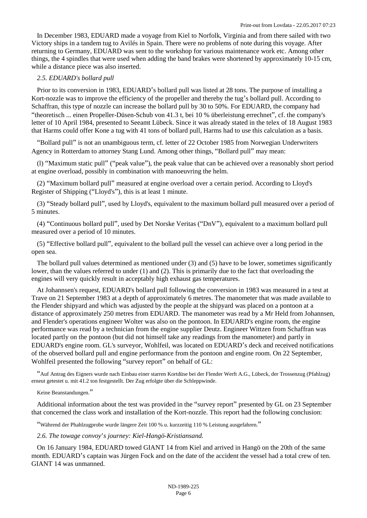In December 1983, EDUARD made a voyage from Kiel to Norfolk, Virginia and from there sailed with two Victory ships in a tandem tug to Avilés in Spain. There were no problems of note during this voyage. After returning to Germany, EDUARD was sent to the workshop for various maintenance work etc. Among other things, the 4 spindles that were used when adding the band brakes were shortened by approximately 10-15 cm, while a distance piece was also inserted.

## *2.5. EDUARD's bollard pull*

Prior to its conversion in 1983, EDUARD's bollard pull was listed at 28 tons. The purpose of installing a Kort-nozzle was to improve the efficiency of the propeller and thereby the tug's bollard pull. According to Schaffran, this type of nozzle can increase the bollard pull by 30 to 50%. For EDUARD, the company had "theoretisch ... einen Propeller-Düsen-Schub von 41.3 t, bei 10 % überleistung errechnet", cf. the company's letter of 10 April 1984, presented to Seeamt Lübeck. Since it was already stated in the telex of 18 August 1983 that Harms could offer Kone a tug with 41 tons of bollard pull, Harms had to use this calculation as a basis.

"Bollard pull" is not an unambiguous term, cf. letter of 22 October 1985 from Norwegian Underwriters Agency in Rotterdam to attorney Stang Lund. Among other things, "Bollard pull" may mean:

(l) "Maximum static pull" ("peak value"), the peak value that can be achieved over a reasonably short period at engine overload, possibly in combination with manoeuvring the helm.

(2) "Maximum bollard pull" measured at engine overload over a certain period. According to Lloyd's Register of Shipping ("Lloyd's"), this is at least 1 minute.

(3) "Steady bollard pull", used by Lloyd's, equivalent to the maximum bollard pull measured over a period of 5 minutes.

(4) "Continuous bollard pull", used by Det Norske Veritas ("DnV"), equivalent to a maximum bollard pull measured over a period of 10 minutes.

(5) "Effective bollard pull", equivalent to the bollard pull the vessel can achieve over a long period in the open sea.

The bollard pull values determined as mentioned under (3) and (5) have to be lower, sometimes significantly lower, than the values referred to under (1) and (2). This is primarily due to the fact that overloading the engines will very quickly result in acceptably high exhaust gas temperatures.

At Johannsen's request, EDUARD's bollard pull following the conversion in 1983 was measured in a test at Trave on 21 September 1983 at a depth of approximately 6 metres. The manometer that was made available to the Flender shipyard and which was adjusted by the people at the shipyard was placed on a pontoon at a distance of approximately 250 metres from EDUARD. The manometer was read by a Mr Held from Johannsen, and Flender's operations engineer Wolter was also on the pontoon. In EDUARD's engine room, the engine performance was read by a technician from the engine supplier Deutz. Engineer Wittzen from Schaffran was located partly on the pontoon (but did not himself take any readings from the manometer) and partly in EDUARD's engine room. GL's surveyor, Wohlfeil, was located on EDUARD's deck and received notifications of the observed bollard pull and engine performance from the pontoon and engine room. On 22 September, Wohlfeil presented the following "survey report" on behalf of GL:

"Auf Antrag des Eigners wurde nach Einbau einer starren Kortdüse bei der Flender Werft A.G., Lübeck, der Trossenzug (Pfahlzug) erneut getestet u. mit 41.2 ton festgestellt. Der Zug erfolgte über die Schleppwinde.

#### Keine Beanstandungen."

Additional information about the test was provided in the "survey report" presented by GL on 23 September that concerned the class work and installation of the Kort-nozzle. This report had the following conclusion:

"Während der Phahlzugprobe wurde längere Zeit 100 % u. kurzzeitig 110 % Leistung ausgefahren."

*2.6. The towage convoy*'*s journey: Kiel-Hangö-Kristiansand.*

On 16 January 1984, EDUARD towed GIANT 14 from Kiel and arrived in Hangö on the 20th of the same month. EDUARD's captain was Jürgen Fock and on the date of the accident the vessel had a total crew of ten. GIANT 14 was unmanned.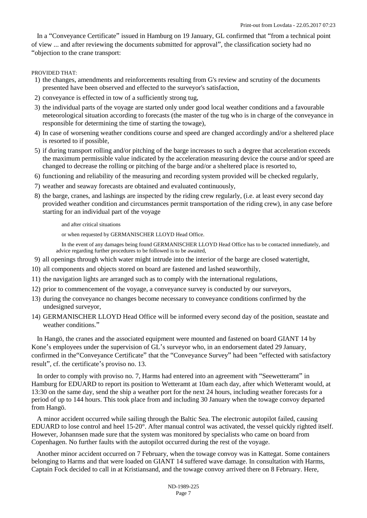In a "Conveyance Certificate" issued in Hamburg on 19 January, GL confirmed that "from a technical point of view ... and after reviewing the documents submitted for approval", the classification society had no "objection to the crane transport:

PROVIDED THAT:

- 1) the changes, amendments and reinforcements resulting from G's review and scrutiny of the documents presented have been observed and effected to the surveyor's satisfaction,
- 2) conveyance is effected in tow of a sufficiently strong tug,
- 3) the individual parts of the voyage are started only under good local weather conditions and a favourable meteorological situation according to forecasts (the master of the tug who is in charge of the conveyance in responsible for determining the time of starting the towage),
- 4) In case of worsening weather conditions course and speed are changed accordingly and/or a sheltered place is resorted to if possible,
- 5) if during transport rolling and/or pitching of the barge increases to such a degree that acceleration exceeds the maximum permissible value indicated by the acceleration measuring device the course and/or speed are changed to decrease the rolling or pitching of the barge and/or a sheltered place is resorted to,
- 6) functioning and reliability of the measuring and recording system provided will be checked regularly,
- 7) weather and seaway forecasts are obtained and evaluated continuously,
- 8) the barge, cranes, and lashings are inspected by the riding crew regularly, (i.e. at least every second day provided weather condition and circumstances permit transportation of the riding crew), in any case before starting for an individual part of the voyage

and after critical situations

or when requested by GERMANISCHER LLOYD Head Office.

In the event of any damages being found GERMANISCHER LLOYD Head Office has to be contacted immediately, and advice regarding further procedures to be followed is to be awaited,

- 9) all openings through which water might intrude into the interior of the barge are closed watertight,
- 10) all components and objects stored on board are fastened and lashed seaworthily,
- 11) the navigation lights are arranged such as to comply with the international regulations,
- 12) prior to commencement of the voyage, a conveyance survey is conducted by our surveyors,
- 13) during the conveyance no changes become necessary to conveyance conditions confirmed by the undesigned surveyor,
- 14) GERMANISCHER LLOYD Head Office will be informed every second day of the position, seastate and weather conditions."

In Hangö, the cranes and the associated equipment were mounted and fastened on board GIANT 14 by Kone's employees under the supervision of GL's surveyor who, in an endorsement dated 29 January, confirmed in the"Conveyance Certificate" that the "Conveyance Survey" had been "effected with satisfactory result", cf. the certificate's proviso no. 13.

In order to comply with proviso no. 7, Harms had entered into an agreement with "Seewetteramt" in Hamburg for EDUARD to report its position to Wetteramt at 10am each day, after which Wetteramt would, at 13:30 on the same day, send the ship a weather port for the next 24 hours, including weather forecasts for a period of up to 144 hours. This took place from and including 30 January when the towage convoy departed from Hangö.

A minor accident occurred while sailing through the Baltic Sea. The electronic autopilot failed, causing EDUARD to lose control and heel 15-20°. After manual control was activated, the vessel quickly righted itself. However, Johannsen made sure that the system was monitored by specialists who came on board from Copenhagen. No further faults with the autopilot occurred during the rest of the voyage.

Another minor accident occurred on 7 February, when the towage convoy was in Kattegat. Some containers belonging to Harms and that were loaded on GIANT 14 suffered wave damage. In consultation with Harms, Captain Fock decided to call in at Kristiansand, and the towage convoy arrived there on 8 February. Here,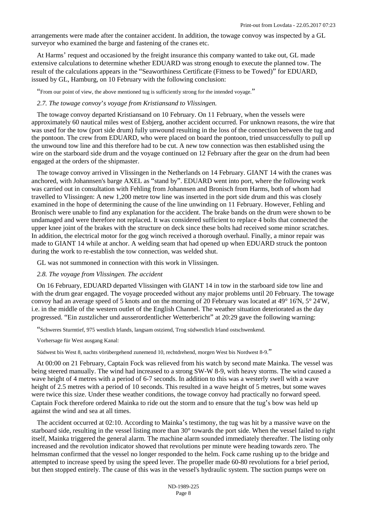arrangements were made after the container accident. In addition, the towage convoy was inspected by a GL surveyor who examined the barge and fastening of the cranes etc.

At Harms' request and occasioned by the freight insurance this company wanted to take out, GL made extensive calculations to determine whether EDUARD was strong enough to execute the planned tow. The result of the calculations appears in the "Seaworthiness Certificate (Fitness to be Towed)" for EDUARD, issued by GL, Hamburg, on 10 February with the following conclusion:

"From our point of view, the above mentioned tug is sufficiently strong for the intended voyage."

## *2.7. The towage convoy*'*s voyage from Kristiansand to Vlissingen.*

The towage convoy departed Kristiansand on 10 February. On 11 February, when the vessels were approximately 60 nautical miles west of Esbjerg, another accident occurred. For unknown reasons, the wire that was used for the tow (port side drum) fully unwound resulting in the loss of the connection between the tug and the pontoon. The crew from EDUARD, who were placed on board the pontoon, tried unsuccessfully to pull up the unwound tow line and this therefore had to be cut. A new tow connection was then established using the wire on the starboard side drum and the voyage continued on 12 February after the gear on the drum had been engaged at the orders of the shipmaster.

The towage convoy arrived in Vlissingen in the Netherlands on 14 February. GIANT 14 with the cranes was anchored, with Johannsen's barge AXEL as "stand by". EDUARD went into port, where the following work was carried out in consultation with Fehling from Johannsen and Bronisch from Harms, both of whom had travelled to Vlissingen: A new 1,200 metre tow line was inserted in the port side drum and this was closely examined in the hope of determining the cause of the line unwinding on 11 February. However, Fehling and Bronisch were unable to find any explanation for the accident. The brake bands on the drum were shown to be undamaged and were therefore not replaced. It was considered sufficient to replace 4 bolts that connected the upper knee joint of the brakes with the structure on deck since these bolts had received some minor scratches. In addition, the electrical motor for the gog winch received a thorough overhaul. Finally, a minor repair was made to GIANT 14 while at anchor. A welding seam that had opened up when EDUARD struck the pontoon during the work to re-establish the tow connection, was welded shut.

GL was not summoned in connection with this work in Vlissingen.

## *2.8. The voyage from Vlissingen. The accident*

On 16 February, EDUARD departed Vlissingen with GIANT 14 in tow in the starboard side tow line and with the drum gear engaged. The voyage proceeded without any major problems until 20 February. The towage convoy had an average speed of 5 knots and on the morning of 20 February was located at 49° 16'N, 5° 24'W, i.e. in the middle of the western outlet of the English Channel. The weather situation deteriorated as the day progressed. "Ein zustzlicher und ausserordentlicher Wetterbericht" at 20:29 gave the following warning:

"Schweres Sturmtief, 975 westlich Irlands, langsam ostziend, Trog südwestlich Irland ostschwenkend.

Vorhersage für West ausgang Kanal:

Südwest bis West 8, nachts vörübergehend zunemend 10, rechtdrehend, morgen West bis Nordwest 8-9."

At 00:00 on 21 February, Captain Fock was relieved from his watch by second mate Mainka. The vessel was being steered manually. The wind had increased to a strong SW-W 8-9, with heavy storms. The wind caused a wave height of 4 metres with a period of 6-7 seconds. In addition to this was a westerly swell with a wave height of 2.5 metres with a period of 10 seconds. This resulted in a wave height of 5 metres, but some waves were twice this size. Under these weather conditions, the towage convoy had practically no forward speed. Captain Fock therefore ordered Mainka to ride out the storm and to ensure that the tug's bow was held up against the wind and sea at all times.

The accident occurred at 02:10. According to Mainka's testimony, the tug was hit by a massive wave on the starboard side, resulting in the vessel listing more than 30° towards the port side. When the vessel failed to right itself, Mainka triggered the general alarm. The machine alarm sounded immediately thereafter. The listing only increased and the revolution indicator showed that revolutions per minute were heading towards zero. The helmsman confirmed that the vessel no longer responded to the helm. Fock came rushing up to the bridge and attempted to increase speed by using the speed lever. The propeller made 60-80 revolutions for a brief period, but then stopped entirely. The cause of this was in the vessel's hydraulic system. The suction pumps were on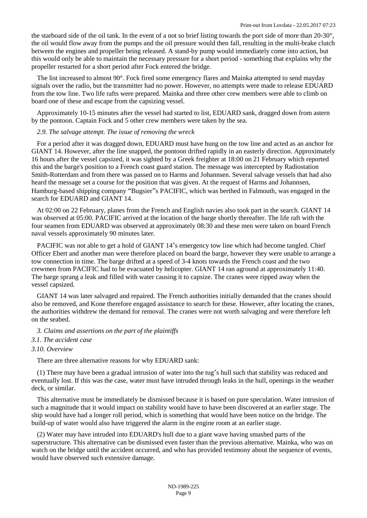the starboard side of the oil tank. In the event of a not so brief listing towards the port side of more than 20-30°, the oil would flow away from the pumps and the oil pressure would then fall, resulting in the multi-brake clutch between the engines and propeller being released. A stand-by pump would immediately come into action, but this would only be able to maintain the necessary pressure for a short period - something that explains why the propeller restarted for a short period after Fock entered the bridge.

The list increased to almost 90°. Fock fired some emergency flares and Mainka attempted to send mayday signals over the radio, but the transmitter had no power. However, no attempts were made to release EDUARD from the tow line. Two life rafts were prepared. Mainka and three other crew members were able to climb on board one of these and escape from the capsizing vessel.

Approximately 10-15 minutes after the vessel had started to list, EDUARD sank, dragged down from astern by the pontoon. Captain Fock and 5 other crew members were taken by the sea.

## *2.9. The salvage attempt. The issue of removing the wreck*

For a period after it was dragged down, EDUARD must have hung on the tow line and acted as an anchor for GIANT 14. However, after the line snapped, the pontoon drifted rapidly in an easterly direction. Approximately 16 hours after the vessel capsized, it was sighted by a Greek freighter at 18:00 on 21 February which reported this and the barge's position to a French coast guard station. The message was intercepted by Radiostation Smith-Rotterdam and from there was passed on to Harms and Johannsen. Several salvage vessels that had also heard the message set a course for the position that was given. At the request of Harms and Johannsen, Hamburg-based shipping company "Bugsier"s PACIFIC, which was berthed in Falmouth, was engaged in the search for EDUARD and GIANT 14.

At 02:00 on 22 February, planes from the French and English navies also took part in the search. GIANT 14 was observed at 05:00. PACIFIC arrived at the location of the barge shortly thereafter. The life raft with the four seamen from EDUARD was observed at approximately 08:30 and these men were taken on board French naval vessels approximately 90 minutes later.

PACIFIC was not able to get a hold of GIANT 14's emergency tow line which had become tangled. Chief Officer Ebert and another man were therefore placed on board the barge, however they were unable to arrange a tow connection in time. The barge drifted at a speed of 3-4 knots towards the French coast and the two crewmen from PACIFIC had to be evacuated by helicopter. GIANT 14 ran aground at approximately 11:40. The barge sprang a leak and filled with water causing it to capsize. The cranes were ripped away when the vessel capsized.

GIANT 14 was later salvaged and repaired. The French authorities initially demanded that the cranes should also be removed, and Kone therefore engaged assistance to search for these. However, after locating the cranes, the authorities withdrew the demand for removal. The cranes were not worth salvaging and were therefore left on the seabed.

#### *3. Claims and assertions on the part of the plaintiffs*

## *3.1. The accident case*

## *3.10. Overview*

There are three alternative reasons for why EDUARD sank:

(1) There may have been a gradual intrusion of water into the tug's hull such that stability was reduced and eventually lost. If this was the case, water must have intruded through leaks in the hull, openings in the weather deck, or similar.

This alternative must be immediately be dismissed because it is based on pure speculation. Water intrusion of such a magnitude that it would impact on stability would have to have been discovered at an earlier stage. The ship would have had a longer roll period, which is something that would have been notice on the bridge. The build-up of water would also have triggered the alarm in the engine room at an earlier stage.

(2) Water may have intruded into EDUARD's hull due to a giant wave having smashed parts of the superstructure. This alternative can be dismissed even faster than the previous alternative. Mainka, who was on watch on the bridge until the accident occurred, and who has provided testimony about the sequence of events, would have observed such extensive damage.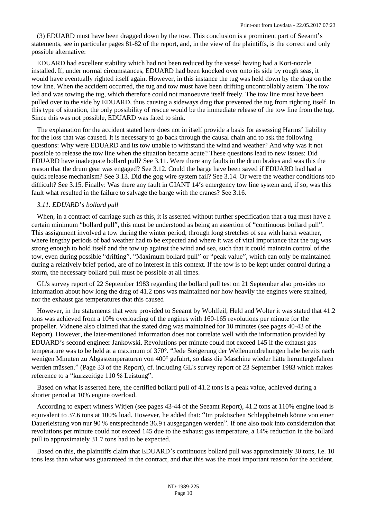(3) EDUARD must have been dragged down by the tow. This conclusion is a prominent part of Seeamt's statements, see in particular pages 81-82 of the report, and, in the view of the plaintiffs, is the correct and only possible alternative:

EDUARD had excellent stability which had not been reduced by the vessel having had a Kort-nozzle installed. If, under normal circumstances, EDUARD had been knocked over onto its side by rough seas, it would have eventually righted itself again. However, in this instance the tug was held down by the drag on the tow line. When the accident occurred, the tug and tow must have been drifting uncontrollably astern. The tow led and was towing the tug, which therefore could not manoeuvre itself freely. The tow line must have been pulled over to the side by EDUARD, thus causing a sideways drag that prevented the tug from righting itself. In this type of situation, the only possibility of rescue would be the immediate release of the tow line from the tug. Since this was not possible, EDUARD was fated to sink.

The explanation for the accident stated here does not in itself provide a basis for assessing Harms' liability for the loss that was caused. It is necessary to go back through the causal chain and to ask the following questions: Why were EDUARD and its tow unable to withstand the wind and weather? And why was it not possible to release the tow line when the situation became acute? These questions lead to new issues: Did EDUARD have inadequate bollard pull? See 3.11. Were there any faults in the drum brakes and was this the reason that the drum gear was engaged? See 3.12. Could the barge have been saved if EDUARD had had a quick release mechanism? See 3.13. Did the gog wire system fail? See 3.14. Or were the weather conditions too difficult? See 3.15. Finally: Was there any fault in GIANT 14's emergency tow line system and, if so, was this fault what resulted in the failure to salvage the barge with the cranes? See 3.16.

## *3.11. EDUARD*'*s bollard pull*

When, in a contract of carriage such as this, it is asserted without further specification that a tug must have a certain minimum "bollard pull", this must be understood as being an assertion of "continuous bollard pull". This assignment involved a tow during the winter period, through long stretches of sea with harsh weather, where lengthy periods of bad weather had to be expected and where it was of vital importance that the tug was strong enough to hold itself and the tow up against the wind and sea, such that it could maintain control of the tow, even during possible "drifting". "Maximum bollard pull" or "peak value", which can only be maintained during a relatively brief period, are of no interest in this context. If the tow is to be kept under control during a storm, the necessary bollard pull must be possible at all times.

GL's survey report of 22 September 1983 regarding the bollard pull test on 21 September also provides no information about how long the drag of 41.2 tons was maintained nor how heavily the engines were strained, nor the exhaust gas temperatures that this caused

However, in the statements that were provided to Seeamt by Wohlfeil, Held and Wolter it was stated that 41.2 tons was achieved from a 10% overloading of the engines with 160-165 revolutions per minute for the propeller. Vidnene also claimed that the stated drag was maintained for 10 minutes (see pages 40-43 of the Report). However, the later-mentioned information does not correlate well with the information provided by EDUARD's second engineer Jankowski. Revolutions per minute could not exceed 145 if the exhaust gas temperature was to be held at a maximum of 370°. "Jede Steigerung der Wellenumdrehungen habe bereits nach wenigen Minuten zu Abgastemperaturen von 400° geführt, so dass die Maschine wieder hätte heruntergefahren werden müssen." (Page 33 of the Report), cf. including GL's survey report of 23 September 1983 which makes reference to a "kurzzeitige 110 % Leistung".

Based on what is asserted here, the certified bollard pull of 41.2 tons is a peak value, achieved during a shorter period at 10% engine overload.

According to expert witness Witjen (see pages 43-44 of the Seeamt Report), 41.2 tons at 110% engine load is equivalent to 37.6 tons at 100% load. However, he added that: "Im praktischen Schleppbetrieb könne von einer Dauerleistung von nur 90 % entsprechende 36.9 t ausgegangen werden". If one also took into consideration that revolutions per minute could not exceed 145 due to the exhaust gas temperature, a 14% reduction in the bollard pull to approximately 31.7 tons had to be expected.

Based on this, the plaintiffs claim that EDUARD's continuous bollard pull was approximately 30 tons, i.e. 10 tons less than what was guaranteed in the contract, and that this was the most important reason for the accident.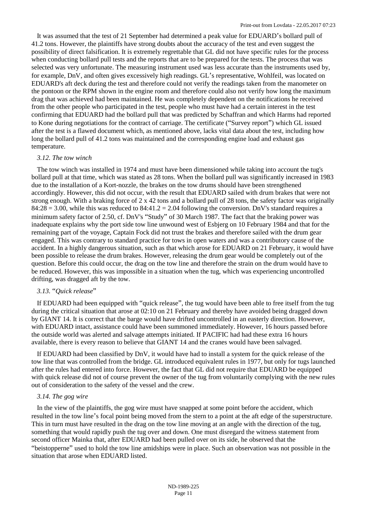It was assumed that the test of 21 September had determined a peak value for EDUARD's bollard pull of 41.2 tons. However, the plaintiffs have strong doubts about the accuracy of the test and even suggest the possibility of direct falsification. It is extremely regrettable that GL did not have specific rules for the process when conducting bollard pull tests and the reports that are to be prepared for the tests. The process that was selected was very unfortunate. The measuring instrument used was less accurate than the instruments used by, for example, DnV, and often gives excessively high readings. GL's representative, Wohlfeil, was located on EDUARD's aft deck during the test and therefore could not verify the readings taken from the manometer on the pontoon or the RPM shown in the engine room and therefore could also not verify how long the maximum drag that was achieved had been maintained. He was completely dependent on the notifications he received from the other people who participated in the test, people who must have had a certain interest in the test confirming that EDUARD had the bollard pull that was predicted by Schaffran and which Harms had reported to Kone during negotiations for the contract of carriage. The certificate ("Survey report") which GL issued after the test is a flawed document which, as mentioned above, lacks vital data about the test, including how long the bollard pull of 41.2 tons was maintained and the corresponding engine load and exhaust gas temperature.

#### *3.12. The tow winch*

The tow winch was installed in 1974 and must have been dimensioned while taking into account the tug's bollard pull at that time, which was stated as 28 tons. When the bollard pull was significantly increased in 1983 due to the installation of a Kort-nozzle, the brakes on the tow drums should have been strengthened accordingly. However, this did not occur, with the result that EDUARD sailed with drum brakes that were not strong enough. With a braking force of  $2 \times 42$  tons and a bollard pull of 28 tons, the safety factor was originally  $84:28 = 3.00$ , while this was reduced to  $84:41.2 = 2.04$  following the conversion. DnV's standard requires a minimum safety factor of 2.50, cf. DnV's "Study" of 30 March 1987. The fact that the braking power was inadequate explains why the port side tow line unwound west of Esbjerg on 10 February 1984 and that for the remaining part of the voyage, Captain Fock did not trust the brakes and therefore sailed with the drum gear engaged. This was contrary to standard practice for tows in open waters and was a contributory cause of the accident. In a highly dangerous situation, such as that which arose for EDUARD on 21 February, it would have been possible to release the drum brakes. However, releasing the drum gear would be completely out of the question. Before this could occur, the drag on the tow line and therefore the strain on the drum would have to be reduced. However, this was impossible in a situation when the tug, which was experiencing uncontrolled drifting, was dragged aft by the tow.

# *3.13.* "*Quick release*"

If EDUARD had been equipped with "quick release", the tug would have been able to free itself from the tug during the critical situation that arose at 02:10 on 21 February and thereby have avoided being dragged down by GIANT 14. It is correct that the barge would have drifted uncontrolled in an easterly direction. However, with EDUARD intact, assistance could have been summoned immediately. However, 16 hours passed before the outside world was alerted and salvage attempts initiated. If PACIFIC had had these extra 16 hours available, there is every reason to believe that GIANT 14 and the cranes would have been salvaged.

If EDUARD had been classified by DnV, it would have had to install a system for the quick release of the tow line that was controlled from the bridge. GL introduced equivalent rules in 1977, but only for tugs launched after the rules had entered into force. However, the fact that GL did not require that EDUARD be equipped with quick release did not of course prevent the owner of the tug from voluntarily complying with the new rules out of consideration to the safety of the vessel and the crew.

## *3.14. The gog wire*

In the view of the plaintiffs, the gog wire must have snapped at some point before the accident, which resulted in the tow line's focal point being moved from the stern to a point at the aft edge of the superstructure. This in turn must have resulted in the drag on the tow line moving at an angle with the direction of the tug, something that would rapidly push the tug over and down. One must disregard the witness statement from second officer Mainka that, after EDUARD had been pulled over on its side, he observed that the "beistopperne" used to hold the tow line amidships were in place. Such an observation was not possible in the situation that arose when EDUARD listed.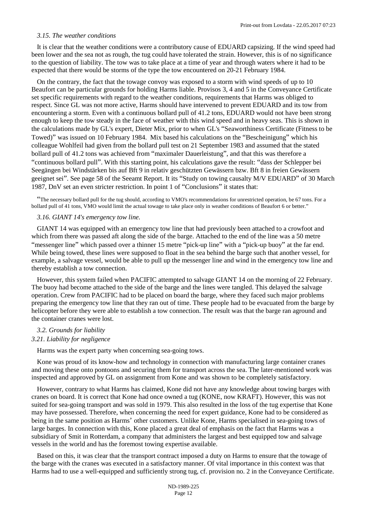#### *3.15. The weather conditions*

It is clear that the weather conditions were a contributory cause of EDUARD capsizing. If the wind speed had been lower and the sea not as rough, the tug could have tolerated the strain. However, this is of no significance to the question of liability. The tow was to take place at a time of year and through waters where it had to be expected that there would be storms of the type the tow encountered on 20-21 February 1984.

On the contrary, the fact that the towage convoy was exposed to a storm with wind speeds of up to 10 Beaufort can be particular grounds for holding Harms liable. Provisos 3, 4 and 5 in the Conveyance Certificate set specific requirements with regard to the weather conditions, requirements that Harms was obliged to respect. Since GL was not more active, Harms should have intervened to prevent EDUARD and its tow from encountering a storm. Even with a continuous bollard pull of 41.2 tons, EDUARD would not have been strong enough to keep the tow steady in the face of weather with this wind speed and in heavy seas. This is shown in the calculations made by GL's expert, Dieter Mix, prior to when GL's "Seaworthiness Certificate (Fitness to be Towed)" was issued on 10 February 1984. Mix based his calculations on the "Bescheinigung" which his colleague Wohlfeil had given from the bollard pull test on 21 September 1983 and assumed that the stated bollard pull of 41.2 tons was achieved from "maximaler Dauerleistung", and that this was therefore a "continuous bollard pull". With this starting point, his calculations gave the result: "dass der Schlepper bei Seegängen bei Windstärken bis auf Bft 9 in relativ geschützten Gewässern bzw. Bft 8 in freien Gewässern geeignet sei". See page 58 of the Seeamt Report. It its "Study on towing causalty M/V EDUARD" of 30 March 1987, DnV set an even stricter restriction. In point 1 of "Conclusions" it states that:

"The necessary bollard pull for the tug should, according to VMO's recommendations for unrestricted operation, be 67 tons. For a bollard pull of 41 tons, VMO would limit the actual towage to take place only in weather conditions of Beaufort 6 or better."

#### *3.16. GIANT 14's emergency tow line.*

GIANT 14 was equipped with an emergency tow line that had previously been attached to a crowfoot and which from there was passed aft along the side of the barge. Attached to the end of the line was a 50 metre "messenger line" which passed over a thinner 15 metre "pick-up line" with a "pick-up buoy" at the far end. While being towed, these lines were supposed to float in the sea behind the barge such that another vessel, for example, a salvage vessel, would be able to pull up the messenger line and wind in the emergency tow line and thereby establish a tow connection.

However, this system failed when PACIFIC attempted to salvage GIANT 14 on the morning of 22 February. The buoy had become attached to the side of the barge and the lines were tangled. This delayed the salvage operation. Crew from PACIFIC had to be placed on board the barge, where they faced such major problems preparing the emergency tow line that they ran out of time. These people had to be evacuated from the barge by helicopter before they were able to establish a tow connection. The result was that the barge ran aground and the container cranes were lost.

# *3.2. Grounds for liability 3.21. Liability for negligence*

Harms was the expert party when concerning sea-going tows.

Kone was proud of its know-how and technology in connection with manufacturing large container cranes and moving these onto pontoons and securing them for transport across the sea. The later-mentioned work was inspected and approved by GL on assignment from Kone and was shown to be completely satisfactory.

However, contrary to what Harms has claimed, Kone did not have any knowledge about towing barges with cranes on board. It is correct that Kone had once owned a tug (KONE, now KRAFT). However, this was not suited for sea-going transport and was sold in 1979. This also resulted in the loss of the tug expertise that Kone may have possessed. Therefore, when concerning the need for expert guidance, Kone had to be considered as being in the same position as Harms' other customers. Unlike Kone, Harms specialised in sea-going tows of large barges. In connection with this, Kone placed a great deal of emphasis on the fact that Harms was a subsidiary of Smit in Rotterdam, a company that administers the largest and best equipped tow and salvage vessels in the world and has the foremost towing expertise available.

Based on this, it was clear that the transport contract imposed a duty on Harms to ensure that the towage of the barge with the cranes was executed in a satisfactory manner. Of vital importance in this context was that Harms had to use a well-equipped and sufficiently strong tug, cf. provision no. 2 in the Conveyance Certificate.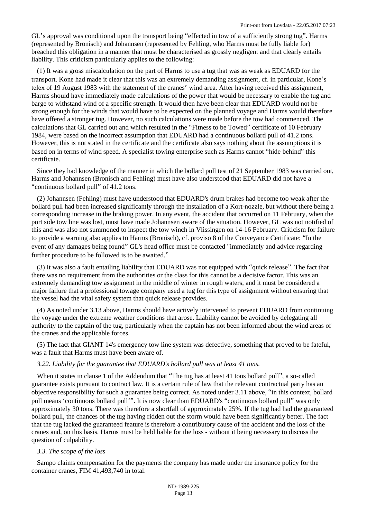GL's approval was conditional upon the transport being "effected in tow of a sufficiently strong tug". Harms (represented by Bronisch) and Johannsen (represented by Fehling, who Harms must be fully liable for) breached this obligation in a manner that must be characterised as grossly negligent and that clearly entails liability. This criticism particularly applies to the following:

(1) It was a gross miscalculation on the part of Harms to use a tug that was as weak as EDUARD for the transport. Kone had made it clear that this was an extremely demanding assignment, cf. in particular, Kone's telex of 19 August 1983 with the statement of the cranes' wind area. After having received this assignment, Harms should have immediately made calculations of the power that would be necessary to enable the tug and barge to withstand wind of a specific strength. It would then have been clear that EDUARD would not be strong enough for the winds that would have to be expected on the planned voyage and Harms would therefore have offered a stronger tug. However, no such calculations were made before the tow had commenced. The calculations that GL carried out and which resulted in the "Fitness to be Towed" certificate of 10 February 1984, were based on the incorrect assumption that EDUARD had a continuous bollard pull of 41.2 tons. However, this is not stated in the certificate and the certificate also says nothing about the assumptions it is based on in terms of wind speed. A specialist towing enterprise such as Harms cannot "hide behind" this certificate.

Since they had knowledge of the manner in which the bollard pull test of 21 September 1983 was carried out, Harms and Johannsen (Bronisch and Fehling) must have also understood that EDUARD did not have a "continuous bollard pull" of 41.2 tons.

(2) Johannsen (Fehling) must have understood that EDUARD's drum brakes had become too weak after the bollard pull had been increased significantly through the installation of a Kort-nozzle, but without there being a corresponding increase in the braking power. In any event, the accident that occurred on 11 February, when the port side tow line was lost, must have made Johannsen aware of the situation. However, GL was not notified of this and was also not summoned to inspect the tow winch in Vlissingen on 14-16 February. Criticism for failure to provide a warning also applies to Harms (Bronisch), cf. proviso 8 of the Conveyance Certificate: "In the event of any damages being found" GL's head office must be contacted "immediately and advice regarding further procedure to be followed is to be awaited."

(3) It was also a fault entailing liability that EDUARD was not equipped with "quick release". The fact that there was no requirement from the authorities or the class for this cannot be a decisive factor. This was an extremely demanding tow assignment in the middle of winter in rough waters, and it must be considered a major failure that a professional towage company used a tug for this type of assignment without ensuring that the vessel had the vital safety system that quick release provides.

(4) As noted under 3.13 above, Harms should have actively intervened to prevent EDUARD from continuing the voyage under the extreme weather conditions that arose. Liability cannot be avoided by delegating all authority to the captain of the tug, particularly when the captain has not been informed about the wind areas of the cranes and the applicable forces.

(5) The fact that GIANT 14's emergency tow line system was defective, something that proved to be fateful, was a fault that Harms must have been aware of.

#### *3.22. Liability for the guarantee that EDUARD's bollard pull was at least 41 tons.*

When it states in clause 1 of the Addendum that "The tug has at least 41 tons bollard pull", a so-called guarantee exists pursuant to contract law. It is a certain rule of law that the relevant contractual party has an objective responsibility for such a guarantee being correct. As noted under 3.11 above, "in this context, bollard pull means 'continuous bollard pull'". It is now clear than EDUARD's "continuous bollard pull" was only approximately 30 tons. There was therefore a shortfall of approximately 25%. If the tug had had the guaranteed bollard pull, the chances of the tug having ridden out the storm would have been significantly better. The fact that the tug lacked the guaranteed feature is therefore a contributory cause of the accident and the loss of the cranes and, on this basis, Harms must be held liable for the loss - without it being necessary to discuss the question of culpability.

#### *3.3. The scope of the loss*

Sampo claims compensation for the payments the company has made under the insurance policy for the container cranes, FIM 41,493,740 in total.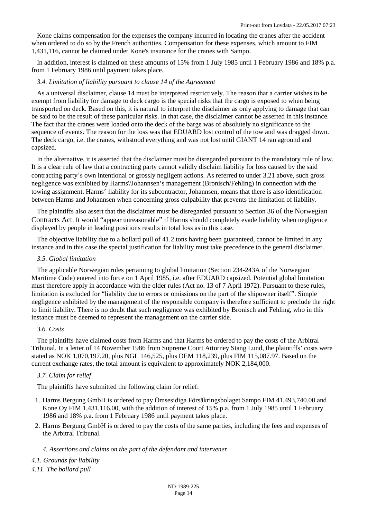Kone claims compensation for the expenses the company incurred in locating the cranes after the accident when ordered to do so by the French authorities. Compensation for these expenses, which amount to FIM 1,431,116, cannot be claimed under Kone's insurance for the cranes with Sampo.

In addition, interest is claimed on these amounts of 15% from 1 July 1985 until 1 February 1986 and 18% p.a. from 1 February 1986 until payment takes place.

## *3.4. Limitation of liability pursuant to clause 14 of the Agreement*

As a universal disclaimer, clause 14 must be interpreted restrictively. The reason that a carrier wishes to be exempt from liability for damage to deck cargo is the special risks that the cargo is exposed to when being transported on deck. Based on this, it is natural to interpret the disclaimer as only applying to damage that can be said to be the result of these particular risks. In that case, the disclaimer cannot be asserted in this instance. The fact that the cranes were loaded onto the deck of the barge was of absolutely no significance to the sequence of events. The reason for the loss was that EDUARD lost control of the tow and was dragged down. The deck cargo, i.e. the cranes, withstood everything and was not lost until GIANT 14 ran aground and capsized.

In the alternative, it is asserted that the disclaimer must be disregarded pursuant to the mandatory rule of law. It is a clear rule of law that a contracting party cannot validly disclaim liability for loss caused by the said contracting party's own intentional or grossly negligent actions. As referred to under 3.21 above, such gross negligence was exhibited by Harms'/Johannsen's management (Bronisch/Fehling) in connection with the towing assignment. Harms' liability for its subcontractor, Johannsen, means that there is also identification between Harms and Johannsen when concerning gross culpability that prevents the limitation of liability.

The plaintiffs also assert that the disclaimer must be disregarded pursuant to Section 36 [of the Norwegian](http://www.lovdata.no/pro#reference/lov/1918-05-31-4/�36) Contracts Act. It would "appear unreasonable" [if Harms should completely evade liability when negligence](http://www.lovdata.no/pro#reference/lov/1918-05-31-4/�36) displayed by people in leading positions results in total loss as in this case.

The objective liability due to a bollard pull of 41.2 tons having been guaranteed, cannot be limited in any instance and in this case the special justification for liability must take precedence to the general disclaimer.

#### *3.5. Global limitation*

The applicable Norwegian rules pertaining to global limitation (Section 234-243A of the Norwegian Maritime Code) entered into force on 1 April 1985, i.e. after EDUARD capsized. Potential global limitation must therefore apply in accordance with the older rules (Act no. 13 of 7 April 1972). Pursuant to these rules, limitation is excluded for "liability due to errors or omissions on the part of the shipowner itself". Simple negligence exhibited by the management of the responsible company is therefore sufficient to preclude the right to limit liability. There is no doubt that such negligence was exhibited by Bronisch and Fehling, who in this instance must be deemed to represent the management on the carrier side.

#### *3.6. Costs*

The plaintiffs have claimed costs from Harms and that Harms be ordered to pay the costs of the Arbitral Tribunal. In a letter of 14 November 1986 from Supreme Court Attorney Stang Lund, the plaintiffs' costs were stated as NOK 1,070,197.20, plus NGL 146,525, plus DEM 118,239, plus FIM 115,087.97. Based on the current exchange rates, the total amount is equivalent to approximately NOK 2,184,000.

#### *3.7. Claim for relief*

The plaintiffs have submitted the following claim for relief:

- 1. Harms Bergung GmbH is ordered to pay Ömsesidiga Försäkringsbolaget Sampo FIM 41,493,740.00 and Kone Oy FIM 1,431,116.00, with the addition of interest of 15% p.a. from 1 July 1985 until 1 February 1986 and 18% p.a. from 1 February 1986 until payment takes place.
- 2. Harms Bergung GmbH is ordered to pay the costs of the same parties, including the fees and expenses of the Arbitral Tribunal.

*4. Assertions and claims on the part of the defendant and intervener*

*4.1. Grounds for liability 4.11. The bollard pull*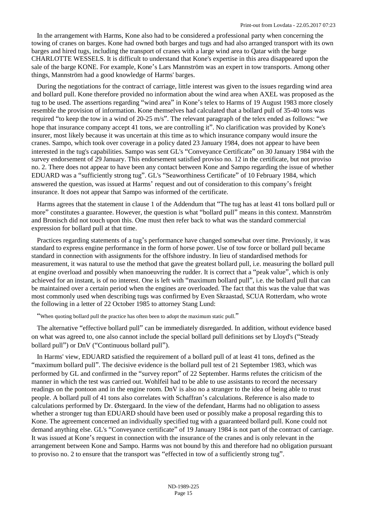In the arrangement with Harms, Kone also had to be considered a professional party when concerning the towing of cranes on barges. Kone had owned both barges and tugs and had also arranged transport with its own barges and hired tugs, including the transport of cranes with a large wind area to Qatar with the barge CHARLOTTE WESSELS. It is difficult to understand that Kone's expertise in this area disappeared upon the sale of the barge KONE. For example, Kone's Lars Mannström was an expert in tow transports. Among other things, Mannström had a good knowledge of Harms' barges.

During the negotiations for the contract of carriage, little interest was given to the issues regarding wind area and bollard pull. Kone therefore provided no information about the wind area when AXEL was proposed as the tug to be used. The assertions regarding "wind area" in Kone's telex to Harms of 19 August 1983 more closely resemble the provision of information. Kone themselves had calculated that a bollard pull of 35-40 tons was required "to keep the tow in a wind of 20-25 m/s". The relevant paragraph of the telex ended as follows: "we hope that insurance company accept 41 tons, we are controlling it". No clarification was provided by Kone's insurer, most likely because it was uncertain at this time as to which insurance company would insure the cranes. Sampo, which took over coverage in a policy dated 23 January 1984, does not appear to have been interested in the tug's capabilities. Sampo was sent GL's "Conveyance Certificate" on 30 January 1984 with the survey endorsement of 29 January. This endorsement satisfied proviso no. 12 in the certificate, but not proviso no. 2. There does not appear to have been any contact between Kone and Sampo regarding the issue of whether EDUARD was a "sufficiently strong tug". GL's "Seaworthiness Certificate" of 10 February 1984, which answered the question, was issued at Harms' request and out of consideration to this company's freight insurance. It does not appear that Sampo was informed of the certificate.

Harms agrees that the statement in clause 1 of the Addendum that "The tug has at least 41 tons bollard pull or more" constitutes a guarantee. However, the question is what "bollard pull" means in this context. Mannström and Bronisch did not touch upon this. One must then refer back to what was the standard commercial expression for bollard pull at that time.

Practices regarding statements of a tug's performance have changed somewhat over time. Previously, it was standard to express engine performance in the form of horse power. Use of tow force or bollard pull became standard in connection with assignments for the offshore industry. In lieu of standardised methods for measurement, it was natural to use the method that gave the greatest bollard pull, i.e. measuring the bollard pull at engine overload and possibly when manoeuvring the rudder. It is correct that a "peak value", which is only achieved for an instant, is of no interest. One is left with "maximum bollard pull", i.e. the bollard pull that can be maintained over a certain period when the engines are overloaded. The fact that this was the value that was most commonly used when describing tugs was confirmed by Even Skraastad, SCUA Rotterdam, who wrote the following in a letter of 22 October 1985 to attorney Stang Lund:

"When quoting bollard pull the practice has often been to adopt the maximum static pull."

The alternative "effective bollard pull" can be immediately disregarded. In addition, without evidence based on what was agreed to, one also cannot include the special bollard pull definitions set by Lloyd's ("Steady bollard pull") or DnV ("Continuous bollard pull").

In Harms' view, EDUARD satisfied the requirement of a bollard pull of at least 41 tons, defined as the "maximum bollard pull". The decisive evidence is the bollard pull test of 21 September 1983, which was performed by GL and confirmed in the "survey report" of 22 September. Harms refutes the criticism of the manner in which the test was carried out. Wohlfeil had to be able to use assistants to record the necessary readings on the pontoon and in the engine room. DnV is also no a stranger to the idea of being able to trust people. A bollard pull of 41 tons also correlates with Schaffran's calculations. Reference is also made to calculations performed by Dr. Østergaard. In the view of the defendant, Harms had no obligation to assess whether a stronger tug than EDUARD should have been used or possibly make a proposal regarding this to Kone. The agreement concerned an individually specified tug with a guaranteed bollard pull. Kone could not demand anything else. GL's "Conveyance certificate" of 19 January 1984 is not part of the contract of carriage. It was issued at Kone's request in connection with the insurance of the cranes and is only relevant in the arrangement between Kone and Sampo. Harms was not bound by this and therefore had no obligation pursuant to proviso no. 2 to ensure that the transport was "effected in tow of a sufficiently strong tug".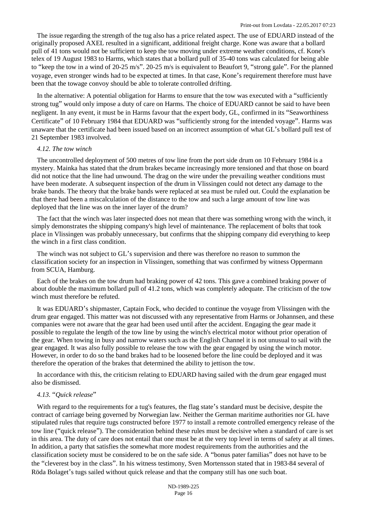The issue regarding the strength of the tug also has a price related aspect. The use of EDUARD instead of the originally proposed AXEL resulted in a significant, additional freight charge. Kone was aware that a bollard pull of 41 tons would not be sufficient to keep the tow moving under extreme weather conditions, cf. Kone's telex of 19 August 1983 to Harms, which states that a bollard pull of 35-40 tons was calculated for being able to "keep the tow in a wind of 20-25 m/s". 20-25 m/s is equivalent to Beaufort 9, "strong gale". For the planned voyage, even stronger winds had to be expected at times. In that case, Kone's requirement therefore must have been that the towage convoy should be able to tolerate controlled drifting.

In the alternative: A potential obligation for Harms to ensure that the tow was executed with a "sufficiently strong tug" would only impose a duty of care on Harms. The choice of EDUARD cannot be said to have been negligent. In any event, it must be in Harms favour that the expert body, GL, confirmed in its "Seaworthiness Certificate" of 10 February 1984 that EDUARD was "sufficiently strong for the intended voyage". Harms was unaware that the certificate had been issued based on an incorrect assumption of what GL's bollard pull test of 21 September 1983 involved.

#### *4.12. The tow winch*

The uncontrolled deployment of 500 metres of tow line from the port side drum on 10 February 1984 is a mystery. Mainka has stated that the drum brakes became increasingly more tensioned and that those on board did not notice that the line had unwound. The drag on the wire under the prevailing weather conditions must have been moderate. A subsequent inspection of the drum in Vlissingen could not detect any damage to the brake bands. The theory that the brake bands were replaced at sea must be ruled out. Could the explanation be that there had been a miscalculation of the distance to the tow and such a large amount of tow line was deployed that the line was on the inner layer of the drum?

The fact that the winch was later inspected does not mean that there was something wrong with the winch, it simply demonstrates the shipping company's high level of maintenance. The replacement of bolts that took place in Vlissingen was probably unnecessary, but confirms that the shipping company did everything to keep the winch in a first class condition.

The winch was not subject to GL's supervision and there was therefore no reason to summon the classification society for an inspection in Vlissingen, something that was confirmed by witness Oppermann from SCUA, Hamburg.

Each of the brakes on the tow drum had braking power of 42 tons. This gave a combined braking power of about double the maximum bollard pull of 41.2 tons, which was completely adequate. The criticism of the tow winch must therefore be refuted.

It was EDUARD's shipmaster, Captain Fock, who decided to continue the voyage from Vlissingen with the drum gear engaged. This matter was not discussed with any representative from Harms or Johannsen, and these companies were not aware that the gear had been used until after the accident. Engaging the gear made it possible to regulate the length of the tow line by using the winch's electrical motor without prior operation of the gear. When towing in busy and narrow waters such as the English Channel it is not unusual to sail with the gear engaged. It was also fully possible to release the tow with the gear engaged by using the winch motor. However, in order to do so the band brakes had to be loosened before the line could be deployed and it was therefore the operation of the brakes that determined the ability to jettison the tow.

In accordance with this, the criticism relating to EDUARD having sailed with the drum gear engaged must also be dismissed.

## *4.13.* "*Quick release*"

With regard to the requirements for a tug's features, the flag state's standard must be decisive, despite the contract of carriage being governed by Norwegian law. Neither the German maritime authorities nor GL have stipulated rules that require tugs constructed before 1977 to install a remote controlled emergency release of the tow line ("quick release"). The consideration behind these rules must be decisive when a standard of care is set in this area. The duty of care does not entail that one must be at the very top level in terms of safety at all times. In addition, a party that satisfies the somewhat more modest requirements from the authorities and the classification society must be considered to be on the safe side. A "bonus pater familias" does not have to be the "cleverest boy in the class". In his witness testimony, Sven Mortensson stated that in 1983-84 several of Röda Bolaget's tugs sailed without quick release and that the company still has one such boat.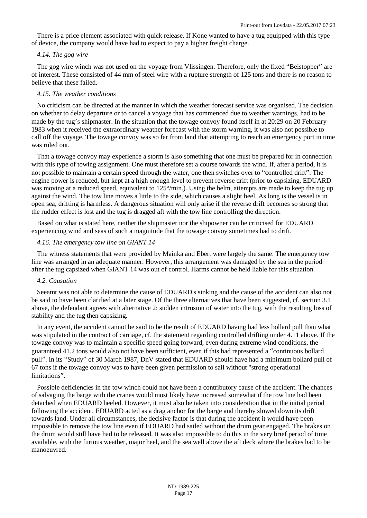There is a price element associated with quick release. If Kone wanted to have a tug equipped with this type of device, the company would have had to expect to pay a higher freight charge.

#### *4.14. The gog wire*

The gog wire winch was not used on the voyage from Vlissingen. Therefore, only the fixed "Beistopper" are of interest. These consisted of 44 mm of steel wire with a rupture strength of 125 tons and there is no reason to believe that these failed.

# *4.15. The weather conditions*

No criticism can be directed at the manner in which the weather forecast service was organised. The decision on whether to delay departure or to cancel a voyage that has commenced due to weather warnings, had to be made by the tug's shipmaster. In the situation that the towage convoy found itself in at 20:29 on 20 February 1983 when it received the extraordinary weather forecast with the storm warning, it was also not possible to call off the voyage. The towage convoy was so far from land that attempting to reach an emergency port in time was ruled out.

That a towage convoy may experience a storm is also something that one must be prepared for in connection with this type of towing assignment. One must therefore set a course towards the wind. If, after a period, it is not possible to maintain a certain speed through the water, one then switches over to "controlled drift". The engine power is reduced, but kept at a high enough level to prevent reverse drift (prior to capsizing, EDUARD was moving at a reduced speed, equivalent to 125°/min.). Using the helm, attempts are made to keep the tug up against the wind. The tow line moves a little to the side, which causes a slight heel. As long is the vessel is in open sea, drifting is harmless. A dangerous situation will only arise if the reverse drift becomes so strong that the rudder effect is lost and the tug is dragged aft with the tow line controlling the direction.

Based on what is stated here, neither the shipmaster nor the shipowner can be criticised for EDUARD experiencing wind and seas of such a magnitude that the towage convoy sometimes had to drift.

## *4.16. The emergency tow line on GIANT 14*

The witness statements that were provided by Mainka and Ebert were largely the same. The emergency tow line was arranged in an adequate manner. However, this arrangement was damaged by the sea in the period after the tug capsized when GIANT 14 was out of control. Harms cannot be held liable for this situation.

#### *4.2. Causation*

Seeamt was not able to determine the cause of EDUARD's sinking and the cause of the accident can also not be said to have been clarified at a later stage. Of the three alternatives that have been suggested, cf. section 3.1 above, the defendant agrees with alternative 2: sudden intrusion of water into the tug, with the resulting loss of stability and the tug then capsizing.

In any event, the accident cannot be said to be the result of EDUARD having had less bollard pull than what was stipulated in the contract of carriage, cf. the statement regarding controlled drifting under 4.11 above. If the towage convoy was to maintain a specific speed going forward, even during extreme wind conditions, the guaranteed 41.2 tons would also not have been sufficient, even if this had represented a "continuous bollard pull". In its "Study" of 30 March 1987, DnV stated that EDUARD should have had a minimum bollard pull of 67 tons if the towage convoy was to have been given permission to sail without "strong operational limitations".

Possible deficiencies in the tow winch could not have been a contributory cause of the accident. The chances of salvaging the barge with the cranes would most likely have increased somewhat if the tow line had been detached when EDUARD heeled. However, it must also be taken into consideration that in the initial period following the accident, EDUARD acted as a drag anchor for the barge and thereby slowed down its drift towards land. Under all circumstances, the decisive factor is that during the accident it would have been impossible to remove the tow line even if EDUARD had sailed without the drum gear engaged. The brakes on the drum would still have had to be released. It was also impossible to do this in the very brief period of time available, with the furious weather, major heel, and the sea well above the aft deck where the brakes had to be manoeuvred.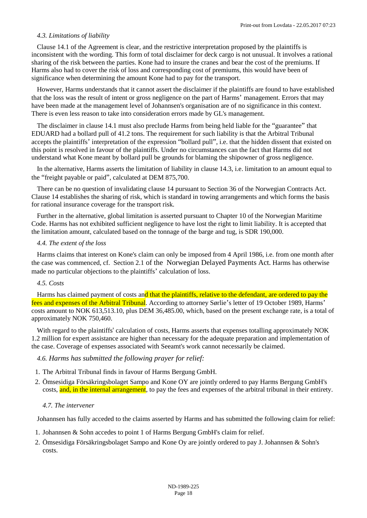## *4.3. Limitations of liability*

Clause 14.1 of the Agreement is clear, and the restrictive interpretation proposed by the plaintiffs is inconsistent with the wording. This form of total disclaimer for deck cargo is not unusual. It involves a rational sharing of the risk between the parties. Kone had to insure the cranes and bear the cost of the premiums. If Harms also had to cover the risk of loss and corresponding cost of premiums, this would have been of significance when determining the amount Kone had to pay for the transport.

However, Harms understands that it cannot assert the disclaimer if the plaintiffs are found to have established that the loss was the result of intent or gross negligence on the part of Harms' management. Errors that may have been made at the management level of Johannsen's organisation are of no significance in this context. There is even less reason to take into consideration errors made by GL's management.

The disclaimer in clause 14.1 must also preclude Harms from being held liable for the "guarantee" that EDUARD had a bollard pull of 41.2 tons. The requirement for such liability is that the Arbitral Tribunal accepts the plaintiffs' interpretation of the expression "bollard pull", i.e. that the hidden dissent that existed on this point is resolved in favour of the plaintiffs. Under no circumstances can the fact that Harms did not understand what Kone meant by bollard pull be grounds for blaming the shipowner of gross negligence.

In the alternative, Harms asserts the limitation of liability in clause 14.3, i.e. limitation to an amount equal to the "freight payable or paid", calculated at DEM 875,700.

There can be no question of invalidating clause 14 pursuant to [Section 36](http://www.lovdata.no/pro#reference/lov/1918-05-31-4/�36) of the Norwegian Contracts Act. Clause 14 establishes the sharing of risk, which is standard in towing arrangements and which forms the basis for rational insurance coverage for the transport risk.

Further in the alternative, global limitation is asserted pursuant to Chapter 10 of the Norwegian Maritime Code. Harms has not exhibited sufficient negligence to have lost the right to limit liability. It is accepted that the limitation amount, calculated based on the tonnage of the barge and tug, is SDR 190,000.

## *4.4. The extent of the loss*

[Harms claims that interest on Kone's claim can only be imposed from 4 April 1986, i.e. from one month after](http://www.lovdata.no/pro#reference/lov/1976-12-17-100/�2)  the case was commenced, cf. Section 2.1 [of the Norwegian Delayed Payments Act.](http://www.lovdata.no/pro#reference/lov/1976-12-17-100/�2) Harms has otherwise made no particular objections to the plaintiffs' calculation of loss.

## *4.5. Costs*

Harms has claimed payment of costs and that the plaintiffs, relative to the defendant, are ordered to pay the fees and expenses of the Arbitral Tribunal. According to attorney Sørlie's letter of 19 October 1989, Harms' costs amount to NOK 613,513.10, plus DEM 36,485.00, which, based on the present exchange rate, is a total of approximately NOK 750,460.

With regard to the plaintiffs' calculation of costs, Harms asserts that expenses totalling approximately NOK 1.2 million for expert assistance are higher than necessary for the adequate preparation and implementation of the case. Coverage of expenses associated with Seeamt's work cannot necessarily be claimed.

## *4.6. Harms has submitted the following prayer for relief:*

- 1. The Arbitral Tribunal finds in favour of Harms Bergung GmbH.
- 2. Ömsesidiga Försäkringsbolaget Sampo and Kone OY are jointly ordered to pay Harms Bergung GmbH's costs, and, in the internal arrangement, to pay the fees and expenses of the arbitral tribunal in their entirety.

## *4.7. The intervener*

Johannsen has fully acceded to the claims asserted by Harms and has submitted the following claim for relief:

- 1. Johannsen & Sohn accedes to point 1 of Harms Bergung GmbH's claim for relief.
- 2. Ömsesidiga Försäkringsbolaget Sampo and Kone Oy are jointly ordered to pay J. Johannsen & Sohn's costs.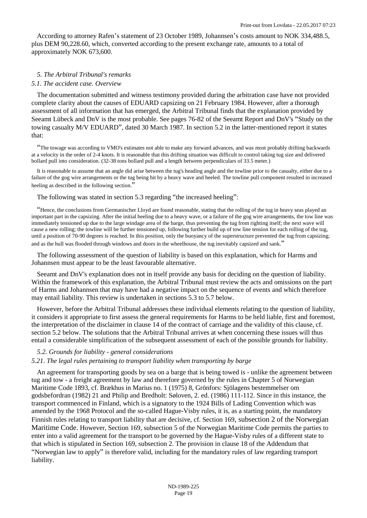According to attorney Rafen's statement of 23 October 1989, Johannsen's costs amount to NOK 334,488.5, plus DEM 90,228.60, which, converted according to the present exchange rate, amounts to a total of approximately NOK 673,600.

## *5. The Arbitral Tribunal's remarks*

#### *5.1. The accident case. Overview*

The documentation submitted and witness testimony provided during the arbitration case have not provided complete clarity about the causes of EDUARD capsizing on 21 February 1984. However, after a thorough assessment of all information that has emerged, the Arbitral Tribunal finds that the explanation provided by Seeamt Lübeck and DnV is the most probable. See pages 76-82 of the Seeamt Report and DnV's "Study on the towing casualty M/V EDUARD", dated 30 March 1987. In section 5.2 in the latter-mentioned report it states that:

"The towage was according to VMO's estimates not able to make any forward advances, and was most probably drifting backwards at a velocity in the order of 2-4 knots. It is reasonable that this drifting situation was difficult to control taking tug size and delivered bollard pull into consideration. (32-38 tons bollard pull and a length between perpendiculars of 33.5 meter.)

It is reasonable to assume that an angle did arise between the tug's heading angle and the towline prior to the casualty, either due to a failure of the gog wire arrangements or the tug being hit by a heavy wave and heeled. The towline pull component resulted in increased heeling as described in the following section."

The following was stated in section 5.3 regarding "the increased heeling":

"Hence, the conclusions from Germanischer Lloyd are found reasonable, stating that the rolling of the tug in heavy seas played an important part in the capsizing. After the initial heeling due to a heavy wave, or a failure of the gog wire arrangements, the tow line was immediately tensioned up due to the large windage area of the barge, thus preventing the tug from righting itself; the next wave will cause a new rolling; the towline will be further tensioned up, following further build up of tow line tension for each rolling of the tug, until a position of 70-90 degrees is reached. In this position, only the buoyancy of the superstructure prevented the tug from capsizing; and as the hull was flooded through windows and doors in the wheelhouse, the tug inevitably capsized and sank."

The following assessment of the question of liability is based on this explanation, which for Harms and Johannsen must appear to be the least favourable alternative.

Seeamt and DnV's explanation does not in itself provide any basis for deciding on the question of liability. Within the framework of this explanation, the Arbitral Tribunal must review the acts and omissions on the part of Harms and Johannsen that may have had a negative impact on the sequence of events and which therefore may entail liability. This review is undertaken in sections 5.3 to 5.7 below.

However, before the Arbitral Tribunal addresses these individual elements relating to the question of liability, it considers it appropriate to first assess the general requirements for Harms to be held liable, first and foremost, the interpretation of the disclaimer in clause 14 of the contract of carriage and the validity of this clause, cf. section 5.2 below. The solutions that the Arbitral Tribunal arrives at when concerning these issues will thus entail a considerable simplification of the subsequent assessment of each of the possible grounds for liability.

#### *5.2. Grounds for liability - general considerations*

#### *5.21. The legal rules pertaining to transport liability when transporting by barge*

An agreement for transporting goods by sea on a barge that is being towed is - unlike the agreement between tug and tow - a freight agreement by law and therefore governed by the rules in [Chapter 5 of Norwegian](http://www.lovdata.no/pro#reference/lov/1893-07-20-1/kap5)  [Maritime Code 1893, cf. Brækhus in Marius no. 1 \(1975\) 8, Grönfors: Sjölagens bestemmelser om](http://www.lovdata.no/pro#reference/lov/1893-07-20-1/kap5)  godsbefordran (1982) 21 and Philip and Bredholt: Søloven, 2. ed. (1986) 111-112. Since in this instance, the transport commenced in Finland, which is a signatory to the 1924 Bills of Lading Convention which was amended by the 1968 Protocol and the so-called Hague-Visby [rules, it is, as](http://www.lovdata.no/pro#reference/lov/1893-07-20-1/�169) a starting point, the mandatory [Finnish rules relating to transport liability that are decisive, cf. Section 169](http://www.lovdata.no/pro#reference/lov/1893-07-20-1/�169), subsection 2 of the Norwegian Maritime Code. [However, Section 169, subsection 5 of the Norwegian Maritime Code permits the parties to](http://www.lovdata.no/pro#reference/lov/1893-07-20-1/�169)  enter into a valid agreement for the transport to be governed by the Hague-Visby rules of a different state to that which is stipulated in [Section 169](http://www.lovdata.no/pro#reference/lov/1893-07-20-1/�169), subsection 2. The provision in clause 18 of the Addendum that "Norwegian law to apply" is therefore valid, including for the mandatory rules of law regarding transport liability.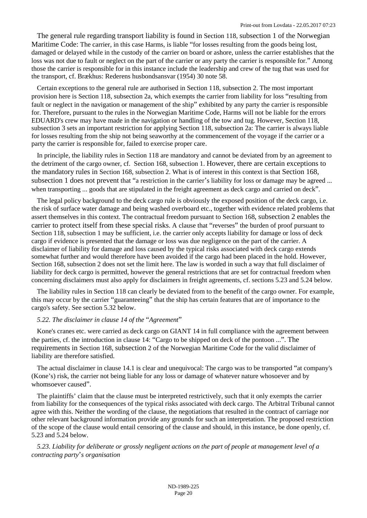The general rule regarding transport liability is found in Section 118, [subsection 1 of the](http://www.lovdata.no/pro#reference/lov/1893-07-20-1/�118) Norwegian Maritime Code: The carrier, in this case Harms, is liable "for losses resulting from the goods being lost, damaged or delayed while in the custody of the carrier on board or ashore, unless the carrier establishes that the loss was not due to fault or neglect on the part of the carrier or any party the carrier is responsible for." Among those the carrier is responsible for in this instance include the leadership and crew of the tug that was used for the transport, cf. Brækhus: Rederens husbondsansvar (1954) 30 note 58.

Certain exceptions to the general rule are authorised in Section 118, subsection 2. The most important provision here is Section 118, subsection 2a, which exempts the carrier from liability for loss "resulting from fault or neglect in the navigation or management of the ship" exhibited by any party the carrier is responsible for. Therefore, pursuant to the rules in the Norwegian Maritime Code, Harms will not be liable for the errors EDUARD's crew may have made in the navigation or handling of the tow and tug. [However, Section 118](http://www.lovdata.no/pro#reference/lov/1893-07-20-1/�118), subsection 3 sets an important restriction for applying [Section 118,](http://www.lovdata.no/pro#reference/lov/1893-07-20-1/�118) subsection 2a: The carrier is always liable for losses resulting from the ship not being seaworthy at the commencement of the voyage if the carrier or a party the carrier is responsible for, failed to exercise proper care.

In principle, the liability rules in Se[ction 118 are](http://www.lovdata.no/pro#reference/lov/1893-07-20-1/�168) mandatory and cannot be deviated from by an agreement to [the detriment of the cargo owner, cf. Section 168, subsection 1.](http://www.lovdata.no/pro#reference/lov/1893-07-20-1/�168) [However, there are certain exceptions to](http://www.lovdata.no/pro#reference/lov/1893-07-20-1/�168)  the mandatory rules in [Section 168, subsection 2. What is of interest in this context is that](http://www.lovdata.no/pro#reference/lov/1893-07-20-1/�168) [Section 168,](http://www.lovdata.no/pro#reference/lov/1893-07-20-1/�168)  subsection 1 does not prevent that "a restriction in the carrier's liability for loss or damage may be agreed ... when transporting ... goods that are stipulated in the freight agreement as deck cargo and carried on deck".

The legal policy background to the deck cargo rule is obviously the exposed position of the deck cargo, i.e. the risk of surface water damage and being washed overboard etc., together with evidence related problems that assert themselves in this context. The contractual freedom pursuant to [Section 168](http://www.lovdata.no/pro#reference/lov/1893-07-20-1/�168), subsection 2 enables the carrier to protect itself from these special risks. A clause that "reverses" the burden of proof pursuant to Section 118, subsection 1 may be sufficient, i.e. the carrier only accepts liability for damage or loss of deck cargo if evidence is presented that the damage or loss was due negligence on the part of the carrier. A disclaimer of liability for damage and loss caused by the typical risks associated with deck cargo extends somewhat further and would therefore have been avoided if the cargo had been placed in the hold. However, [Section 168](http://www.lovdata.no/pro#reference/lov/1893-07-20-1/�168), subsection 2 does not set the limit here. The law is worded in such a way that full disclaimer of liability for deck cargo is permitted, however the general restrictions that are set for contractual freedom when concerning disclaimers must also apply for disclaimers in freight agreements, cf. sections 5.23 and 5.24 below.

The liability rules in Section 118 can clearly be deviated from to the benefit of the cargo owner. For example, this may occur by the carrier "guaranteeing" that the ship has certain features that are of importance to the cargo's safety. See section 5.32 below.

## *5.22. The disclaimer in clause 14 of the* "*Agreement*"

Kone's cranes etc. were carried as deck cargo on GIANT 14 in full compliance with the agreement between the parties, cf. th[e introduction in clause 14](http://www.lovdata.no/pro#reference/lov/1893-07-20-1/�168): "Cargo to be shipped on deck of the pontoon ...". The requirements in Section 168, subsection 2 of the Norwegian Maritime Code for the valid disclaimer of liability are therefore satisfied.

The actual disclaimer in clause 14.1 is clear and unequivocal: The cargo was to be transported "at company's (Kone's) risk, the carrier not being liable for any loss or damage of whatever nature whosoever and by whomsoever caused".

The plaintiffs' claim that the clause must be interpreted restrictively, such that it only exempts the carrier from liability for the consequences of the typical risks associated with deck cargo. The Arbitral Tribunal cannot agree with this. Neither the wording of the clause, the negotiations that resulted in the contract of carriage nor other relevant background information provide any grounds for such an interpretation. The proposed restriction of the scope of the clause would entail censoring of the clause and should, in this instance, be done openly, cf. 5.23 and 5.24 below.

*5.23. Liability for deliberate or grossly negligent actions on the part of people at management level of a contracting party*'*s organisation*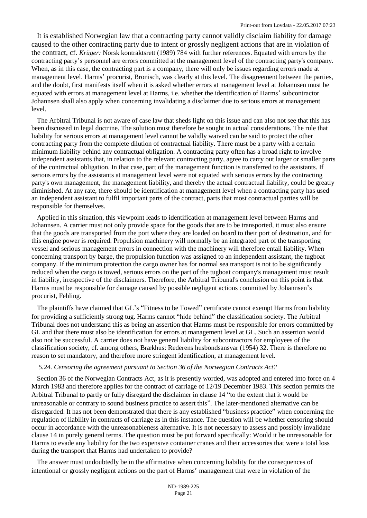It is established Norwegian law that a contracting party cannot validly disclaim liability for damage caused to the other contracting party due to intent or grossly negligent actions that are in violation of the contract, cf. *Krüger:* Norsk kontraktsrett (1989) 784 with further references. Equated with errors by the contracting party's personnel are errors committed at the management level of the contracting party's company. When, as in this case, the contracting part is a company, there will only be issues regarding errors made at management level. Harms' procurist, Bronisch, was clearly at this level. The disagreement between the parties, and the doubt, first manifests itself when it is asked whether errors at management level at Johannsen must be equated with errors at management level at Harms, i.e. whether the identification of Harms' subcontractor Johannsen shall also apply when concerning invalidating a disclaimer due to serious errors at management level.

The Arbitral Tribunal is not aware of case law that sheds light on this issue and can also not see that this has been discussed in legal doctrine. The solution must therefore be sought in actual considerations. The rule that liability for serious errors at management level cannot be validly waived can be said to protect the other contracting party from the complete dilution of contractual liability. There must be a party with a certain minimum liability behind any contractual obligation. A contracting party often has a broad right to involve independent assistants that, in relation to the relevant contracting party, agree to carry out larger or smaller parts of the contractual obligation. In that case, part of the management function is transferred to the assistants. If serious errors by the assistants at management level were not equated with serious errors by the contracting party's own management, the management liability, and thereby the actual contractual liability, could be greatly diminished. At any rate, there should be identification at management level when a contracting party has used an independent assistant to fulfil important parts of the contract, parts that most contractual parties will be responsible for themselves.

Applied in this situation, this viewpoint leads to identification at management level between Harms and Johannsen. A carrier must not only provide space for the goods that are to be transported, it must also ensure that the goods are transported from the port where they are loaded on board to their port of destination, and for this engine power is required. Propulsion machinery will normally be an integrated part of the transporting vessel and serious management errors in connection with the machinery will therefore entail liability. When concerning transport by barge, the propulsion function was assigned to an independent assistant, the tugboat company. If the minimum protection the cargo owner has for normal sea transport is not to be significantly reduced when the cargo is towed, serious errors on the part of the tugboat company's management must result in liability, irrespective of the disclaimers. Therefore, the Arbitral Tribunal's conclusion on this point is that Harms must be responsible for damage caused by possible negligent actions committed by Johannsen's procurist, Fehling.

The plaintiffs have claimed that GL's "Fitness to be Towed" certificate cannot exempt Harms from liability for providing a sufficiently strong tug. Harms cannot "hide behind" the classification society. The Arbitral Tribunal does not understand this as being an assertion that Harms must be responsible for errors committed by GL and that there must also be identification for errors at management level at GL. Such an assertion would also not be successful. A carrier does not have general liability for subcontractors for employees of the classification society, cf. among others, Brækhus: Rederens husbondsansvar (1954) 32. There is therefore no reason to set mandatory, and therefore more stringent identification, at management level.

## *5.24. Censoring the agreement pursuant to Section 36 of the Norwegian Contracts Act?*

Section [36](http://www.lovdata.no/pro#reference/lov/1918-05-31-4/�36) of the Norwegian Contracts Act, as it is presently worded, was adopted and entered into force on 4 March 1983 and therefore applies for the contract of carriage of 12/19 December 1983. This section permits the Arbitral Tribunal to partly or fully disregard the disclaimer in clause 14 "to the extent that it would be unreasonable or contrary to sound business practice to assert this". The later-mentioned alternative can be disregarded. It has not been demonstrated that there is any established "business practice" when concerning the regulation of liability in contracts of carriage as in this instance. The question will be whether censoring should occur in accordance with the unreasonableness alternative. It is not necessary to assess and possibly invalidate clause 14 in purely general terms. The question must be put forward specifically: Would it be unreasonable for Harms to evade any liability for the two expensive container cranes and their accessories that were a total loss during the transport that Harms had undertaken to provide?

The answer must undoubtedly be in the affirmative when concerning liability for the consequences of intentional or grossly negligent actions on the part of Harms' management that were in violation of the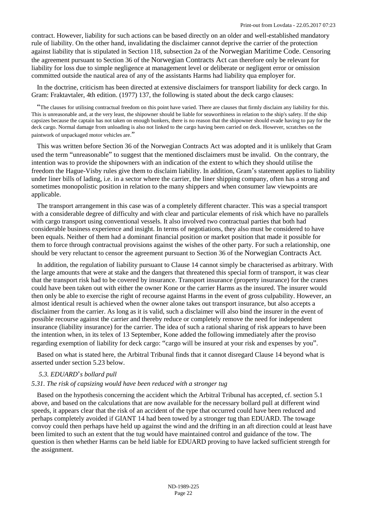contract. However, liability for such actions can be based directly on an older and well-established mandatory rule of liability. On the other hand, invalidating the disclaimer cannot deprive the carrier of the protection against liability that is stipulated in [Section 118, subsection 2a of the](http://www.lovdata.no/pro#reference/lov/1893-07-20-1/�118) Norwegian Maritime Code. Censoring the agreement pursuant to Section 36 of the [Norwegian Contracts Act](http://www.lovdata.no/pro#reference/lov/1918-05-31-4/�36) can therefore only be relevant for liability for loss due to simple negligence at management level or deliberate or negligent error or omission committed outside the nautical area of any of the assistants Harms had liability qua employer for.

In the doctrine, criticism has been directed at extensive disclaimers for transport liability for deck cargo. In Gram: Fraktavtaler, 4th edition. (1977) 137, the following is stated about the deck cargo clauses:

"The clauses for utilising contractual freedom on this point have varied. There are clauses that firmly disclaim any liability for this. This is unreasonable and, at the very least, the shipowner should be liable for seaworthiness in relation to the ship's safety. If the ship capsizes because the captain has not taken on enough bunkers, there is no reason that the shipowner should evade having to pay for the deck cargo. Normal damage from unloading is also not linked to the cargo having been carried on deck. However, scratches on the paintwork of unpackaged motor vehicles are."

This was written before Section [36](http://www.lovdata.no/pro#reference/lov/1918-05-31-4/�36) of the Norwegian Contracts Act was adopted and it is unlikely that Gram used the term "unreasonable" to suggest that the mentioned disclaimers must be invalid. On the contrary, the intention was to provide the shipowners with an indication of the extent to which they should utilise the freedom the Hague-Visby rules give them to disclaim liability. In addition, Gram's statement applies to liability under liner bills of lading, i.e. in a sector where the carrier, the liner shipping company, often has a strong and sometimes monopolistic position in relation to the many shippers and when consumer law viewpoints are applicable.

The transport arrangement in this case was of a completely different character. This was a special transport with a considerable degree of difficulty and with clear and particular elements of risk which have no parallels with cargo transport using conventional vessels. It also involved two contractual parties that both had considerable business experience and insight. In terms of negotiations, they also must be considered to have been equals. Neither of them had a dominant financial position or market position that made it possible for them to force through contractual provisions against the wishes of the other party. For such a relationship, one should be very reluctant to censor the agreement pursuant to Section 36 of the [Norwegian Contracts Act](http://www.lovdata.no/pro#reference/lov/1918-05-31-4/�36).

In addition, the regulation of liability pursuant to Clause 14 cannot simply be characterised as arbitrary. With the large amounts that were at stake and the dangers that threatened this special form of transport, it was clear that the transport risk had to be covered by insurance. Transport insurance (property insurance) for the cranes could have been taken out with either the owner Kone or the carrier Harms as the insured. The insurer would then only be able to exercise the right of recourse against Harms in the event of gross culpability. However, an almost identical result is achieved when the owner alone takes out transport insurance, but also accepts a disclaimer from the carrier. As long as it is valid, such a disclaimer will also bind the insurer in the event of possible recourse against the carrier and thereby reduce or completely remove the need for independent insurance (liability insurance) for the carrier. The idea of such a rational sharing of risk appears to have been the intention when, in its telex of 13 September, Kone added the following immediately after the proviso regarding exemption of liability for deck cargo: "cargo will be insured at your risk and expenses by you".

Based on what is stated here, the Arbitral Tribunal finds that it cannot disregard Clause 14 beyond what is asserted under section 5.23 below.

## *5.3. EDUARD*'*s bollard pull*

## *5.31. The risk of capsizing would have been reduced with a stronger tug*

Based on the hypothesis concerning the accident which the Arbitral Tribunal has accepted, cf. section 5.1 above, and based on the calculations that are now available for the necessary bollard pull at different wind speeds, it appears clear that the risk of an accident of the type that occurred could have been reduced and perhaps completely avoided if GIANT 14 had been towed by a stronger tug than EDUARD. The towage convoy could then perhaps have held up against the wind and the drifting in an aft direction could at least have been limited to such an extent that the tug would have maintained control and guidance of the tow. The question is then whether Harms can be held liable for EDUARD proving to have lacked sufficient strength for the assignment.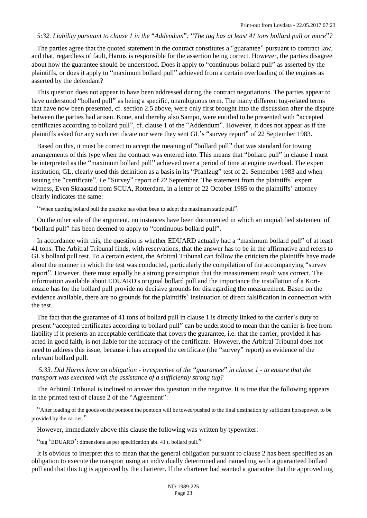## *5:32. Liability pursuant to clause 1 in the* "*Addendum*"*:* "*The tug has at least 41 tons bollard pull or more*"*?*

The parties agree that the quoted statement in the contract constitutes a "guarantee" pursuant to contract law, and that, regardless of fault, Harms is responsible for the assertion being correct. However, the parties disagree about how the guarantee should be understood. Does it apply to "continuous bollard pull" as asserted by the plaintiffs, or does it apply to "maximum bollard pull" achieved from a certain overloading of the engines as asserted by the defendant?

This question does not appear to have been addressed during the contract negotiations. The parties appear to have understood "bollard pull" as being a specific, unambiguous term. The many different tug-related terms that have now been presented, cf. section 2.5 above, were only first brought into the discussion after the dispute between the parties had arisen. Kone, and thereby also Sampo, were entitled to be presented with "accepted certificates according to bollard pull", cf. clause 1 of the "Addendum". However, it does not appear as if the plaintiffs asked for any such certificate nor were they sent GL's "survey report" of 22 September 1983.

Based on this, it must be correct to accept the meaning of "bollard pull" that was standard for towing arrangements of this type when the contract was entered into. This means that "bollard pull" in clause 1 must be interpreted as the "maximum bollard pull" achieved over a period of time at engine overload. The expert institution, GL, clearly used this definition as a basis in its "Pfahlzug" test of 21 September 1983 and when issuing the "certificate", i.e "Survey" report of 22 September. The statement from the plaintiffs' expert witness, Even Skraastad from SCUA, Rotterdam, in a letter of 22 October 1985 to the plaintiffs' attorney clearly indicates the same:

"When quoting bollard pull the practice has often been to adopt the maximum static pull".

On the other side of the argument, no instances have been documented in which an unqualified statement of "bollard pull" has been deemed to apply to "continuous bollard pull".

In accordance with this, the question is whether EDUARD actually had a "maximum bollard pull" of at least 41 tons. The Arbitral Tribunal finds, with reservations, that the answer has to be in the affirmative and refers to GL's bollard pull test. To a certain extent, the Arbitral Tribunal can follow the criticism the plaintiffs have made about the manner in which the test was conducted, particularly the compilation of the accompanying "survey report". However, there must equally be a strong presumption that the measurement result was correct. The information available about EDUARD's original bollard pull and the importance the installation of a Kortnozzle has for the bollard pull provide no decisive grounds for disregarding the measurement. Based on the evidence available, there are no grounds for the plaintiffs' insinuation of direct falsification in connection with the test.

The fact that the guarantee of 41 tons of bollard pull in clause 1 is directly linked to the carrier's duty to present "accepted certificates according to bollard pull" can be understood to mean that the carrier is free from liability if it presents an acceptable certificate that covers the guarantee, i.e. that the carrier, provided it has acted in good faith, is not liable for the accuracy of the certificate. However, the Arbitral Tribunal does not need to address this issue, because it has accepted the certificate (the "survey" report) as evidence of the relevant bollard pull.

*5.33. Did Harms have an obligation - irrespective of the* "*guarantee*" *in clause 1 - to ensure that the transport was executed with the assistance of a sufficiently strong tug?*

The Arbitral Tribunal is inclined to answer this question in the negative. It is true that the following appears in the printed text of clause 2 of the "Agreement":

"After loading of the goods on the pontoon the pontoon will be towed/pushed to the final destination by sufficient horsepower, to be provided by the carrier."

However, immediately above this clause the following was written by typewriter:

"tug 'EDUARD': dimensions as per specification abt. 41 t. bollard pull."

It is obvious to interpret this to mean that the general obligation pursuant to clause 2 has been specified as an obligation to execute the transport using an individually determined and named tug with a guaranteed bollard pull and that this tug is approved by the charterer. If the charterer had wanted a guarantee that the approved tug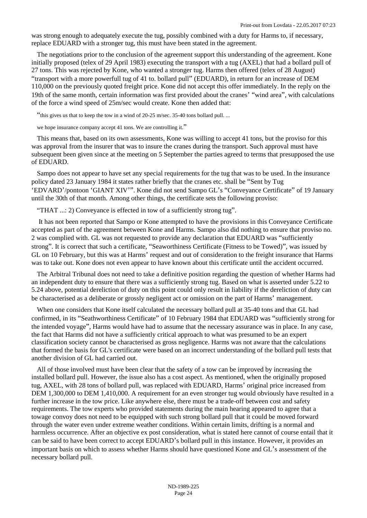was strong enough to adequately execute the tug, possibly combined with a duty for Harms to, if necessary, replace EDUARD with a stronger tug, this must have been stated in the agreement.

The negotiations prior to the conclusion of the agreement support this understanding of the agreement. Kone initially proposed (telex of 29 April 1983) executing the transport with a tug (AXEL) that had a bollard pull of 27 tons. This was rejected by Kone, who wanted a stronger tug. Harms then offered (telex of 28 August) "transport with a more powerfull tug of 41 to. bollard pull" (EDUARD), in return for an increase of DEM 110,000 on the previously quoted freight price. Kone did not accept this offer immediately. In the reply on the 19th of the same month, certain information was first provided about the cranes' "wind area", with calculations of the force a wind speed of 25m/sec would create. Kone then added that:

"this gives us that to keep the tow in a wind of 20-25 m/sec. 35-40 tons bollard pull. ...

we hope insurance company accept 41 tons. We are controlling it."

This means that, based on its own assessments, Kone was willing to accept 41 tons, but the proviso for this was approval from the insurer that was to insure the cranes during the transport. Such approval must have subsequent been given since at the meeting on 5 September the parties agreed to terms that presupposed the use of EDUARD.

Sampo does not appear to have set any special requirements for the tug that was to be used. In the insurance policy dated 23 January 1984 it states rather briefly that the cranes etc. shall be "Sent by Tug 'EDVARD'/pontoon 'GIANT XIV'". Kone did not send Sampo GL's "Conveyance Certificate" of 19 January until the 30th of that month. Among other things, the certificate sets the following proviso:

"THAT ...: 2) Conveyance is effected in tow of a sufficiently strong tug".

 It has not been reported that Sampo or Kone attempted to have the provisions in this Conveyance Certificate accepted as part of the agreement between Kone and Harms. Sampo also did nothing to ensure that proviso no. 2 was complied with. GL was not requested to provide any declaration that EDUARD was "sufficiently strong". It is correct that such a certificate, "Seaworthiness Certificate (Fitness to be Towed)", was issued by GL on 10 February, but this was at Harms' request and out of consideration to the freight insurance that Harms was to take out. Kone does not even appear to have known about this certificate until the accident occurred.

The Arbitral Tribunal does not need to take a definitive position regarding the question of whether Harms had an independent duty to ensure that there was a sufficiently strong tug. Based on what is asserted under 5.22 to 5.24 above, potential dereliction of duty on this point could only result in liability if the dereliction of duty can be characterised as a deliberate or grossly negligent act or omission on the part of Harms' management.

When one considers that Kone itself calculated the necessary bollard pull at 35-40 tons and that GL had confirmed, in its "Seathworthiness Certificate" of 10 February 1984 that EDUARD was "sufficiently strong for the intended voyage", Harms would have had to assume that the necessary assurance was in place. In any case, the fact that Harms did not have a sufficiently critical approach to what was presumed to be an expert classification society cannot be characterised as gross negligence. Harms was not aware that the calculations that formed the basis for GL's certificate were based on an incorrect understanding of the bollard pull tests that another division of GL had carried out.

All of those involved must have been clear that the safety of a tow can be improved by increasing the installed bollard pull. However, the issue also has a cost aspect. As mentioned, when the originally proposed tug, AXEL, with 28 tons of bollard pull, was replaced with EDUARD, Harms' original price increased from DEM 1,300,000 to DEM 1,410,000. A requirement for an even stronger tug would obviously have resulted in a further increase in the tow price. Like anywhere else, there must be a trade-off between cost and safety requirements. The tow experts who provided statements during the main hearing appeared to agree that a towage convoy does not need to be equipped with such strong bollard pull that it could be moved forward through the water even under extreme weather conditions. Within certain limits, drifting is a normal and harmless occurrence. After an objective ex post consideration, what is stated here cannot of course entail that it can be said to have been correct to accept EDUARD's bollard pull in this instance. However, it provides an important basis on which to assess whether Harms should have questioned Kone and GL's assessment of the necessary bollard pull.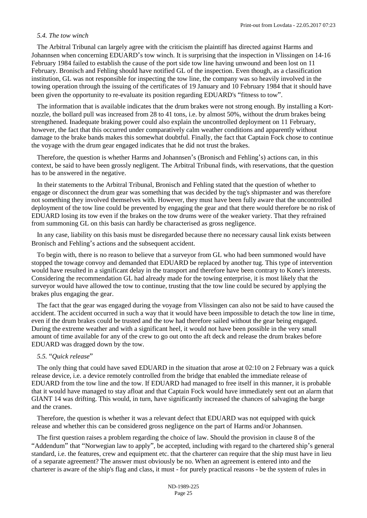## *5.4. The tow winch*

The Arbitral Tribunal can largely agree with the criticism the plaintiff has directed against Harms and Johannsen when concerning EDUARD's tow winch. It is surprising that the inspection in Vlissingen on 14-16 February 1984 failed to establish the cause of the port side tow line having unwound and been lost on 11 February. Bronisch and Fehling should have notified GL of the inspection. Even though, as a classification institution, GL was not responsible for inspecting the tow line, the company was so heavily involved in the towing operation through the issuing of the certificates of 19 January and 10 February 1984 that it should have been given the opportunity to re-evaluate its position regarding EDUARD's "fitness to tow".

The information that is available indicates that the drum brakes were not strong enough. By installing a Kortnozzle, the bollard pull was increased from 28 to 41 tons, i.e. by almost 50%, without the drum brakes being strengthened. Inadequate braking power could also explain the uncontrolled deployment on 11 February, however, the fact that this occurred under comparatively calm weather conditions and apparently without damage to the brake bands makes this somewhat doubtful. Finally, the fact that Captain Fock chose to continue the voyage with the drum gear engaged indicates that he did not trust the brakes.

Therefore, the question is whether Harms and Johannsen's (Bronisch and Fehling's) actions can, in this context, be said to have been grossly negligent. The Arbitral Tribunal finds, with reservations, that the question has to be answered in the negative.

In their statements to the Arbitral Tribunal, Bronisch and Fehling stated that the question of whether to engage or disconnect the drum gear was something that was decided by the tug's shipmaster and was therefore not something they involved themselves with. However, they must have been fully aware that the uncontrolled deployment of the tow line could be prevented by engaging the gear and that there would therefore be no risk of EDUARD losing its tow even if the brakes on the tow drums were of the weaker variety. That they refrained from summoning GL on this basis can hardly be characterised as gross negligence.

In any case, liability on this basis must be disregarded because there no necessary causal link exists between Bronisch and Fehling's actions and the subsequent accident.

To begin with, there is no reason to believe that a surveyor from GL who had been summoned would have stopped the towage convoy and demanded that EDUARD be replaced by another tug. This type of intervention would have resulted in a significant delay in the transport and therefore have been contrary to Kone's interests. Considering the recommendation GL had already made for the towing enterprise, it is most likely that the surveyor would have allowed the tow to continue, trusting that the tow line could be secured by applying the brakes plus engaging the gear.

The fact that the gear was engaged during the voyage from Vlissingen can also not be said to have caused the accident. The accident occurred in such a way that it would have been impossible to detach the tow line in time, even if the drum brakes could be trusted and the tow had therefore sailed without the gear being engaged. During the extreme weather and with a significant heel, it would not have been possible in the very small amount of time available for any of the crew to go out onto the aft deck and release the drum brakes before EDUARD was dragged down by the tow.

## *5.5.* "*Quick release*"

The only thing that could have saved EDUARD in the situation that arose at 02:10 on 2 February was a quick release device, i.e. a device remotely controlled from the bridge that enabled the immediate release of EDUARD from the tow line and the tow. If EDUARD had managed to free itself in this manner, it is probable that it would have managed to stay afloat and that Captain Fock would have immediately sent out an alarm that GIANT 14 was drifting. This would, in turn, have significantly increased the chances of salvaging the barge and the cranes.

Therefore, the question is whether it was a relevant defect that EDUARD was not equipped with quick release and whether this can be considered gross negligence on the part of Harms and/or Johannsen.

The first question raises a problem regarding the choice of law. Should the provision in clause 8 of the "Addendum" that "Norwegian law to apply", be accepted, including with regard to the chartered ship's general standard, i.e. the features, crew and equipment etc. that the charterer can require that the ship must have in lieu of a separate agreement? The answer must obviously be no. When an agreement is entered into and the charterer is aware of the ship's flag and class, it must - for purely practical reasons - be the system of rules in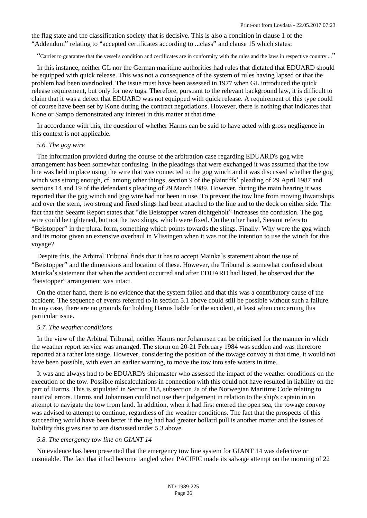the flag state and the classification society that is decisive. This is also a condition in clause 1 of the "Addendum" relating to "accepted certificates according to ...class" and clause 15 which states:

"Carrier to guarantee that the vessel's condition and certificates are in conformity with the rules and the laws in respective country ..."

In this instance, neither GL nor the German maritime authorities had rules that dictated that EDUARD should be equipped with quick release. This was not a consequence of the system of rules having lapsed or that the problem had been overlooked. The issue must have been assessed in 1977 when GL introduced the quick release requirement, but only for new tugs. Therefore, pursuant to the relevant background law, it is difficult to claim that it was a defect that EDUARD was not equipped with quick release. A requirement of this type could of course have been set by Kone during the contract negotiations. However, there is nothing that indicates that Kone or Sampo demonstrated any interest in this matter at that time.

In accordance with this, the question of whether Harms can be said to have acted with gross negligence in this context is not applicable.

## *5.6. The gog wire*

The information provided during the course of the arbitration case regarding EDUARD's gog wire arrangement has been somewhat confusing. In the pleadings that were exchanged it was assumed that the tow line was held in place using the wire that was connected to the gog winch and it was discussed whether the gog winch was strong enough, cf. among other things, section 9 of the plaintiffs' pleading of 29 April 1987 and sections 14 and 19 of the defendant's pleading of 29 March 1989. However, during the main hearing it was reported that the gog winch and gog wire had not been in use. To prevent the tow line from moving thwartships and over the stern, two strong and fixed slings had been attached to the line and to the deck on either side. The fact that the Seeamt Report states that "die Beistopper waren dichtgeholt" increases the confusion. The gog wire could be tightened, but not the two slings, which were fixed. On the other hand, Seeamt refers to "Beistopper" in the plural form, something which points towards the slings. Finally: Why were the gog winch and its motor given an extensive overhaul in Vlissingen when it was not the intention to use the winch for this voyage?

Despite this, the Arbitral Tribunal finds that it has to accept Mainka's statement about the use of "Beistopper" and the dimensions and location of these. However, the Tribunal is somewhat confused about Mainka's statement that when the accident occurred and after EDUARD had listed, he observed that the "beistopper" arrangement was intact.

On the other hand, there is no evidence that the system failed and that this was a contributory cause of the accident. The sequence of events referred to in section 5.1 above could still be possible without such a failure. In any case, there are no grounds for holding Harms liable for the accident, at least when concerning this particular issue.

## *5.7. The weather conditions*

In the view of the Arbitral Tribunal, neither Harms nor Johannsen can be criticised for the manner in which the weather report service was arranged. The storm on 20-21 February 1984 was sudden and was therefore reported at a rather late stage. However, considering the position of the towage convoy at that time, it would not have been possible, with even an earlier warning, to move the tow into safe waters in time.

It was and always had to be EDUARD's shipmaster who assessed the impact of the weather conditions on the execution of the tow. Possible miscalculations in connection with this could not have resulted in liability on the part of Harms. This is stipulated in Section 118, subsection 2a of the [Norwegian Maritime Code](http://www.lovdata.no/pro#reference/lov/1893-07-20-1/�118) relating to nautical errors. Harms and Johannsen could not use their judgement in relation to the ship's captain in an attempt to navigate the tow from land. In addition, when it had first entered the open sea, the towage convoy was advised to attempt to continue, regardless of the weather conditions. The fact that the prospects of this succeeding would have been better if the tug had had greater bollard pull is another matter and the issues of liability this gives rise to are discussed under 5.3 above.

#### *5.8. The emergency tow line on GIANT 14*

No evidence has been presented that the emergency tow line system for GIANT 14 was defective or unsuitable. The fact that it had become tangled when PACIFIC made its salvage attempt on the morning of 22